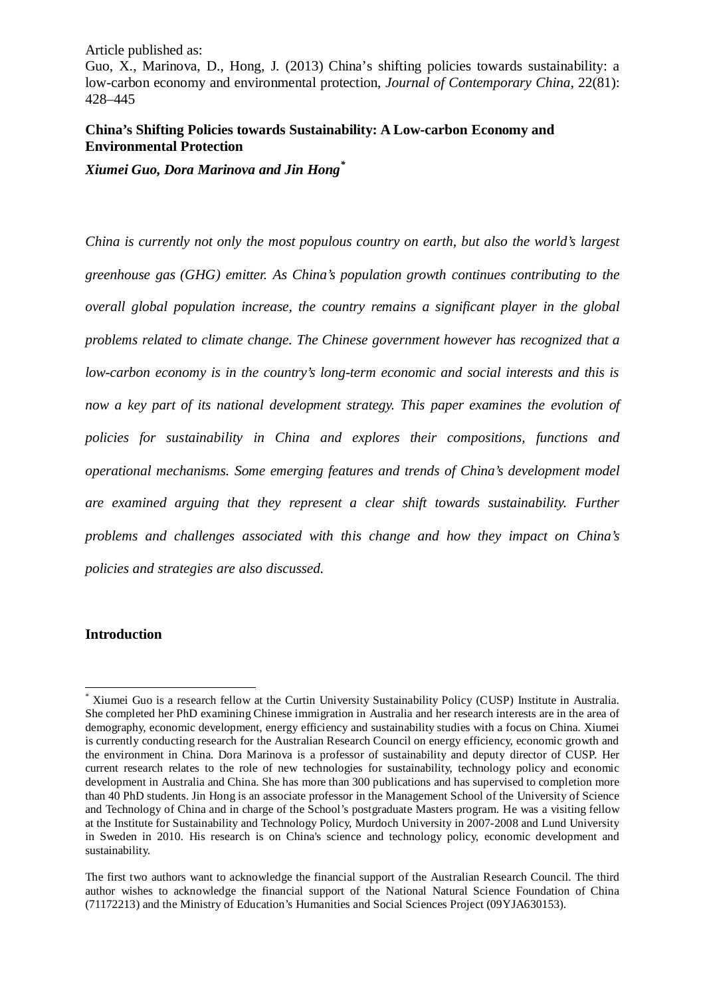Guo, X., Marinova, D., Hong, J. (2013) China's shifting policies towards sustainability: a low-carbon economy and environmental protection, *Journal of Contemporary China*, 22(81): 428–445

### **China's Shifting Policies towards Sustainability: A Low-carbon Economy and Environmental Protection**

*Xiumei Guo, Dora Marinova and Jin Hong[\\*](#page-0-0)*

*China is currently not only the most populous country on earth, but also the world's largest greenhouse gas (GHG) emitter. As China's population growth continues contributing to the overall global population increase, the country remains a significant player in the global problems related to climate change. The Chinese government however has recognized that a low-carbon economy is in the country's long-term economic and social interests and this is now a key part of its national development strategy. This paper examines the evolution of policies for sustainability in China and explores their compositions, functions and operational mechanisms. Some emerging features and trends of China's development model are examined arguing that they represent a clear shift towards sustainability. Further problems and challenges associated with this change and how they impact on China's policies and strategies are also discussed.* 

### **Introduction**

<span id="page-0-0"></span><sup>\*</sup> Xiumei Guo is a research fellow at the Curtin University Sustainability Policy (CUSP) Institute in Australia. She completed her PhD examining Chinese immigration in Australia and her research interests are in the area of demography, economic development, energy efficiency and sustainability studies with a focus on China. Xiumei is currently conducting research for the Australian Research Council on energy efficiency, economic growth and the environment in China. Dora Marinova is a professor of sustainability and deputy director of CUSP. Her current research relates to the role of new technologies for sustainability, technology policy and economic development in Australia and China. She has more than 300 publications and has supervised to completion more than 40 PhD students. Jin Hong is an associate professor in the Management School of the University of Science and Technology of China and in charge of the School's postgraduate Masters program. He was a visiting fellow at the Institute for Sustainability and Technology Policy, Murdoch University in 2007-2008 and Lund University in Sweden in 2010. His research is on China's science and technology policy, economic development and sustainability.  $\frac{1}{2}$ 

The first two authors want to acknowledge the financial support of the Australian Research Council. The third author wishes to acknowledge the financial support of the National Natural Science Foundation of China (71172213) and the Ministry of Education's Humanities and Social Sciences Project (09YJA630153).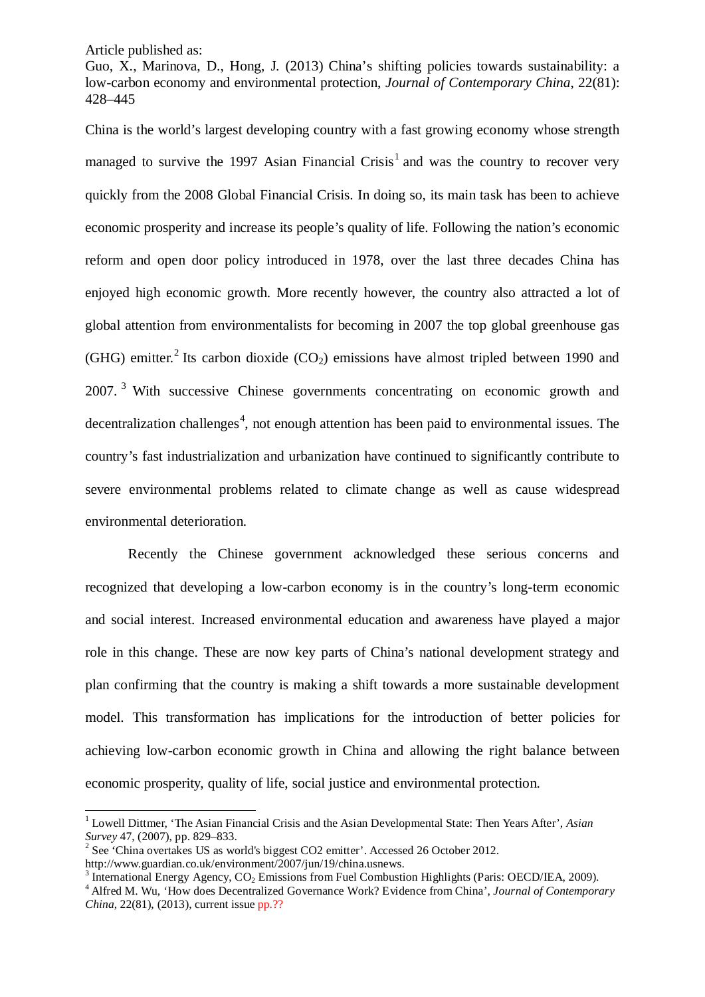-

Guo, X., Marinova, D., Hong, J. (2013) China's shifting policies towards sustainability: a low-carbon economy and environmental protection, *Journal of Contemporary China*, 22(81): 428–445

China is the world's largest developing country with a fast growing economy whose strength managed to survive the [1](#page-1-0)997 Asian Financial Crisis<sup>1</sup> and was the country to recover very quickly from the 2008 Global Financial Crisis. In doing so, its main task has been to achieve economic prosperity and increase its people's quality of life. Following the nation's economic reform and open door policy introduced in 1978, over the last three decades China has enjoyed high economic growth. More recently however, the country also attracted a lot of global attention from environmentalists for becoming in 2007 the top global greenhouse gas (GHG) emitter.<sup>[2](#page-1-1)</sup> Its carbon dioxide (CO<sub>2</sub>) emissions have almost tripled between 1990 and 2007.<sup>[3](#page-1-2)</sup> With successive Chinese governments concentrating on economic growth and decentralization challenges<sup>[4](#page-1-3)</sup>, not enough attention has been paid to environmental issues. The country's fast industrialization and urbanization have continued to significantly contribute to severe environmental problems related to climate change as well as cause widespread environmental deterioration.

Recently the Chinese government acknowledged these serious concerns and recognized that developing a low-carbon economy is in the country's long-term economic and social interest. Increased environmental education and awareness have played a major role in this change. These are now key parts of China's national development strategy and plan confirming that the country is making a shift towards a more sustainable development model. This transformation has implications for the introduction of better policies for achieving low-carbon economic growth in China and allowing the right balance between economic prosperity, quality of life, social justice and environmental protection.

<span id="page-1-0"></span><sup>1</sup> Lowell Dittmer, 'The Asian Financial Crisis and the Asian Developmental State: Then Years After', *Asian Survey* 47, (2007), pp. 829–833.<br><sup>2</sup> See 'China overtakes US as world's biggest CO2 emitter'. Accessed 26 October 2012.

<span id="page-1-1"></span>

http://www.guardian.co.uk/environment/2007/jun/19/china.usnews.<br><sup>3</sup> International Energy Agency, CO<sub>2</sub> Emissions from Fuel Combustion Highlights (Paris: OECD/IEA, 2009).

<span id="page-1-3"></span><span id="page-1-2"></span><sup>&</sup>lt;sup>4</sup> Alfred M. Wu, 'How does Decentralized Governance Work? Evidence from China', *Journal of Contemporary China*, 22(81), (2013), current issue pp.??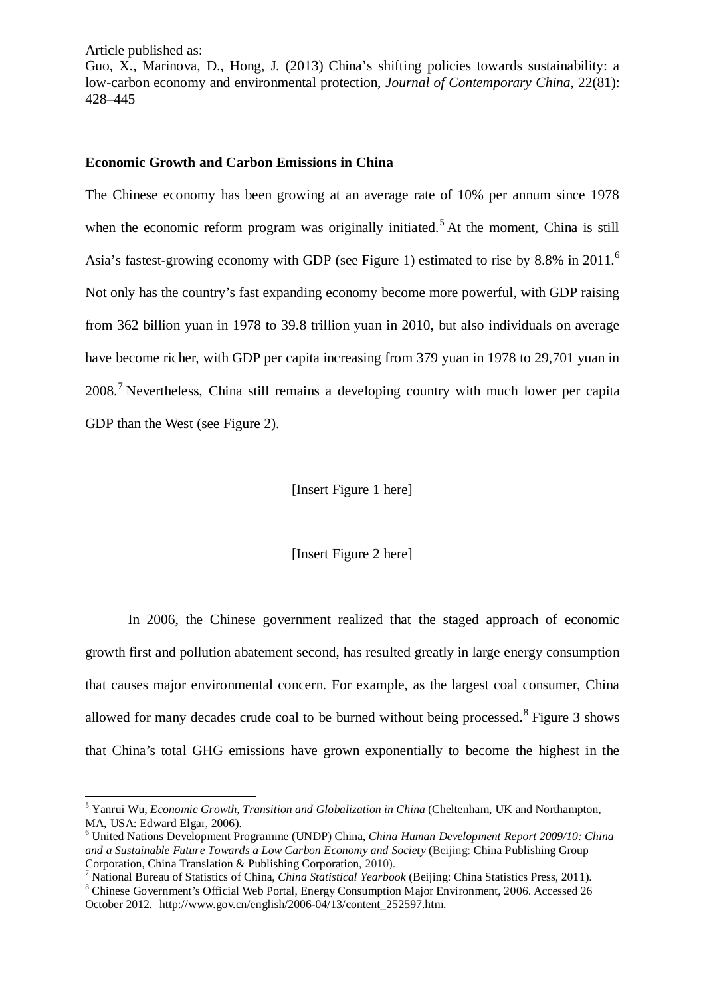$\overline{\phantom{a}}$ 

Guo, X., Marinova, D., Hong, J. (2013) China's shifting policies towards sustainability: a low-carbon economy and environmental protection, *Journal of Contemporary China*, 22(81): 428–445

### **Economic Growth and Carbon Emissions in China**

The Chinese economy has been growing at an average rate of 10% per annum since 1978 when the economic reform program was originally initiated.<sup>[5](#page-2-0)</sup> At the moment, China is still Asia's fastest-growing economy with GDP (see Figure 1) estimated to rise by 8.8% in 2011.<sup>[6](#page-2-1)</sup> Not only has the country's fast expanding economy become more powerful, with GDP raising from 362 billion yuan in 1978 to 39.8 trillion yuan in 2010, but also individuals on average have become richer, with GDP per capita increasing from 379 yuan in 1978 to 29,701 yuan in 2008.<sup>[7](#page-2-2)</sup> Nevertheless, China still remains a developing country with much lower per capita GDP than the West (see Figure 2).

#### [Insert Figure 1 here]

[Insert Figure 2 here]

In 2006, the Chinese government realized that the staged approach of economic growth first and pollution abatement second, has resulted greatly in large energy consumption that causes major environmental concern. For example, as the largest coal consumer, China allowed for many decades crude coal to be burned without being processed.<sup>[8](#page-2-3)</sup> Figure 3 shows that China's total GHG emissions have grown exponentially to become the highest in the

<span id="page-2-0"></span><sup>&</sup>lt;sup>5</sup> Yanrui Wu, *Economic Growth, Transition and Globalization in China* (Cheltenham, UK and Northampton, MA, USA: Edward Elgar, 2006).

<span id="page-2-1"></span><sup>&</sup>lt;sup>6</sup> United Nations Development Programme (UNDP) China, *China Human Development Report 2009/10: China* and a Sustainable Future Towards a Low Carbon Economy and Society (Beijing: China Publishing Group Corporation, China Translation & Publishing Corporation, 2010).

<span id="page-2-2"></span><sup>&</sup>lt;sup>7</sup> National Bureau of Statistics of China, *China Statistical Yearbook* (Beijing: China Statistics Press, 2011).<br><sup>8</sup> Chinese Government's Official Web Portal, Energy Consumption Major Environment, 2006. Accessed 26

<span id="page-2-3"></span>October 2012. http://www.gov.cn/english/2006-04/13/content\_252597.htm.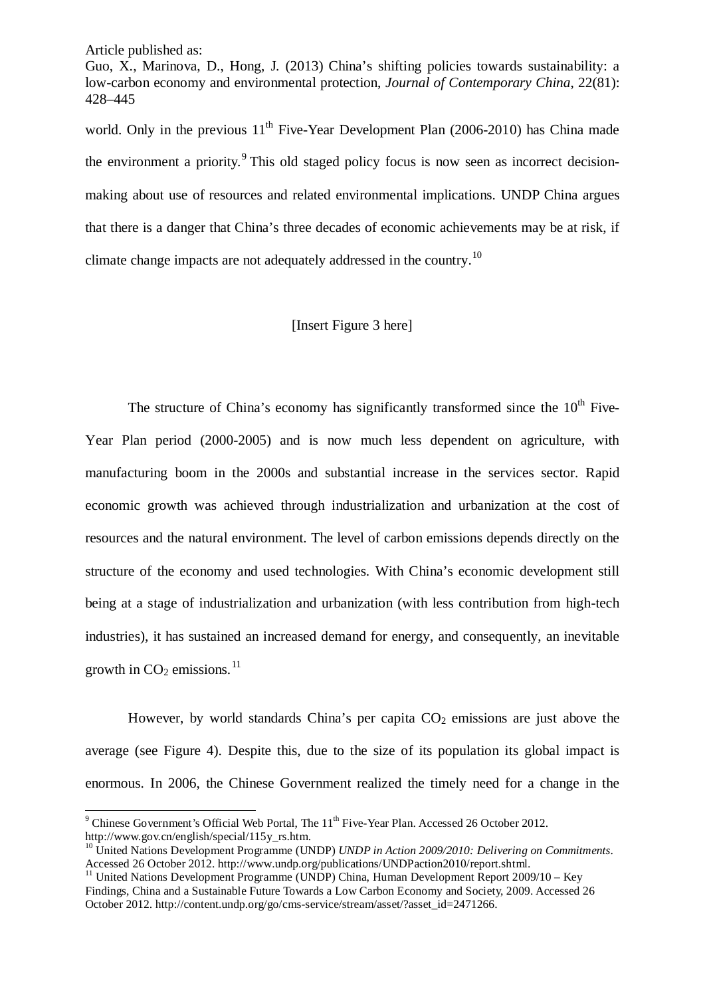-

Guo, X., Marinova, D., Hong, J. (2013) China's shifting policies towards sustainability: a low-carbon economy and environmental protection, *Journal of Contemporary China*, 22(81): 428–445

world. Only in the previous  $11<sup>th</sup>$  Five-Year Development Plan (2006-2010) has China made the environment a priority. $\frac{9}{1}$  $\frac{9}{1}$  $\frac{9}{1}$  This old staged policy focus is now seen as incorrect decisionmaking about use of resources and related environmental implications. UNDP China argues that there is a danger that China's three decades of economic achievements may be at risk, if climate change impacts are not adequately addressed in the country.<sup>[10](#page-3-1)</sup>

### [Insert Figure 3 here]

The structure of China's economy has significantly transformed since the  $10<sup>th</sup>$  Five-Year Plan period (2000-2005) and is now much less dependent on agriculture, with manufacturing boom in the 2000s and substantial increase in the services sector. Rapid economic growth was achieved through industrialization and urbanization at the cost of resources and the natural environment. The level of carbon emissions depends directly on the structure of the economy and used technologies. With China's economic development still being at a stage of industrialization and urbanization (with less contribution from high-tech industries), it has sustained an increased demand for energy, and consequently, an inevitable growth in  $CO<sub>2</sub>$  emissions.<sup>[11](#page-3-2)</sup>

However, by world standards China's per capita  $CO<sub>2</sub>$  emissions are just above the average (see Figure 4). Despite this, due to the size of its population its global impact is enormous. In 2006, the Chinese Government realized the timely need for a change in the

<span id="page-3-0"></span> $9$  Chinese Government's Official Web Portal, The  $11<sup>th</sup>$  Five-Year Plan. Accessed 26 October 2012. http://www.gov.cn/english/special/115y\_rs.htm.

<span id="page-3-1"></span><sup>&</sup>lt;sup>10</sup> United Nations Development Programme (UNDP) *UNDP in Action 2009/2010: Delivering on Commitments.*<br>Accessed 26 October 2012. http://www.undp.org/publications/UNDPaction2010/report.shtml.

<span id="page-3-2"></span><sup>&</sup>lt;sup>11</sup> United Nations Development Programme (UNDP) China, Human Development Report 2009/10 – Key Findings, China and a Sustainable Future Towards a Low Carbon Economy and Society, 2009. Accessed 26 October 2012. http://content.undp.org/go/cms-service/stream/asset/?asset\_id=2471266.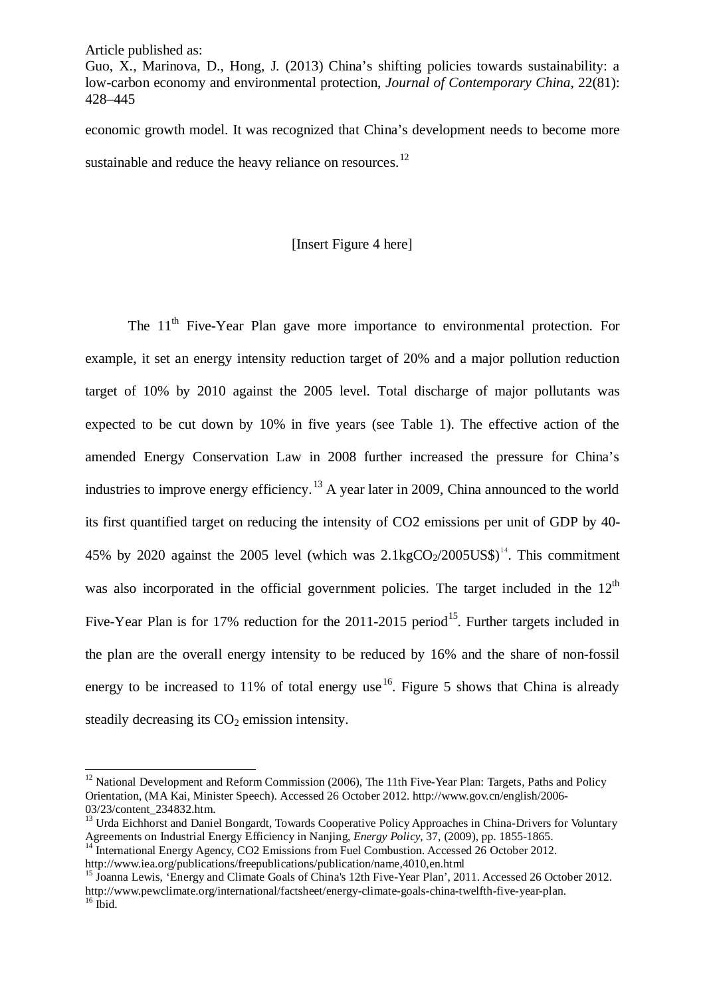$\overline{\phantom{a}}$ 

Guo, X., Marinova, D., Hong, J. (2013) China's shifting policies towards sustainability: a low-carbon economy and environmental protection, *Journal of Contemporary China*, 22(81): 428–445

economic growth model. It was recognized that China's development needs to become more sustainable and reduce the heavy reliance on resources.<sup>[12](#page-4-0)</sup>

#### [Insert Figure 4 here]

The 11<sup>th</sup> Five-Year Plan gave more importance to environmental protection. For example, it set an energy intensity reduction target of 20% and a major pollution reduction target of 10% by 2010 against the 2005 level. Total discharge of major pollutants was expected to be cut down by 10% in five years (see Table 1). The effective action of the amended Energy Conservation Law in 2008 further increased the pressure for China's industries to improve energy efficiency.<sup>[13](#page-4-1)</sup> A year later in 2009, China announced to the world its first quantified target on reducing the intensity of CO2 emissions per unit of GDP by 40- 45% by 2020 against the 2005 level (which was  $2.1 \text{kgCO}_2/2005 \text{US}^2$ )<sup>[14](#page-4-2)</sup>. This commitment was also incorporated in the official government policies. The target included in the  $12<sup>th</sup>$ Five-Year Plan is for 17% reduction for the  $2011-2015$  period<sup>15</sup>. Further targets included in the plan are the overall energy intensity to be reduced by 16% and the share of non-fossil energy to be increased to 11% of total energy use  $16$ . Figure 5 shows that China is already steadily decreasing its  $CO<sub>2</sub>$  emission intensity.

<span id="page-4-0"></span><sup>&</sup>lt;sup>12</sup> National Development and Reform Commission (2006), The 11th Five-Year Plan: Targets, Paths and Policy Orientation, (MA Kai, Minister Speech). Accessed 26 October 2012. http://www.gov.cn/english/2006- 03/23/content\_234832.htm.

<span id="page-4-1"></span><sup>&</sup>lt;sup>13</sup> Urda Eichhorst and Daniel Bongardt, Towards Cooperative Policy Approaches in China-Drivers for Voluntary Agreements on Industrial Energy Efficiency in Nanjing, *Energy Policy*, 37, (2009), pp. 1855-1865.

<span id="page-4-2"></span><sup>&</sup>lt;sup>14</sup> International Energy Agency, CO2 Emissions from Fuel Combustion. Accessed 26 October 2012.<br>http://www.iea.org/publications/freepublications/publication/name.4010.en.html

<span id="page-4-4"></span><span id="page-4-3"></span><sup>&</sup>lt;sup>15</sup> Joanna Lewis, 'Energy and Climate Goals of China's 12th Five-Year Plan', 2011. Accessed 26 October 2012. http://www.pewclimate.org/international/factsheet/energy-climate-goals-china-twelfth-five-year-plan. <sup>16</sup> Ibid.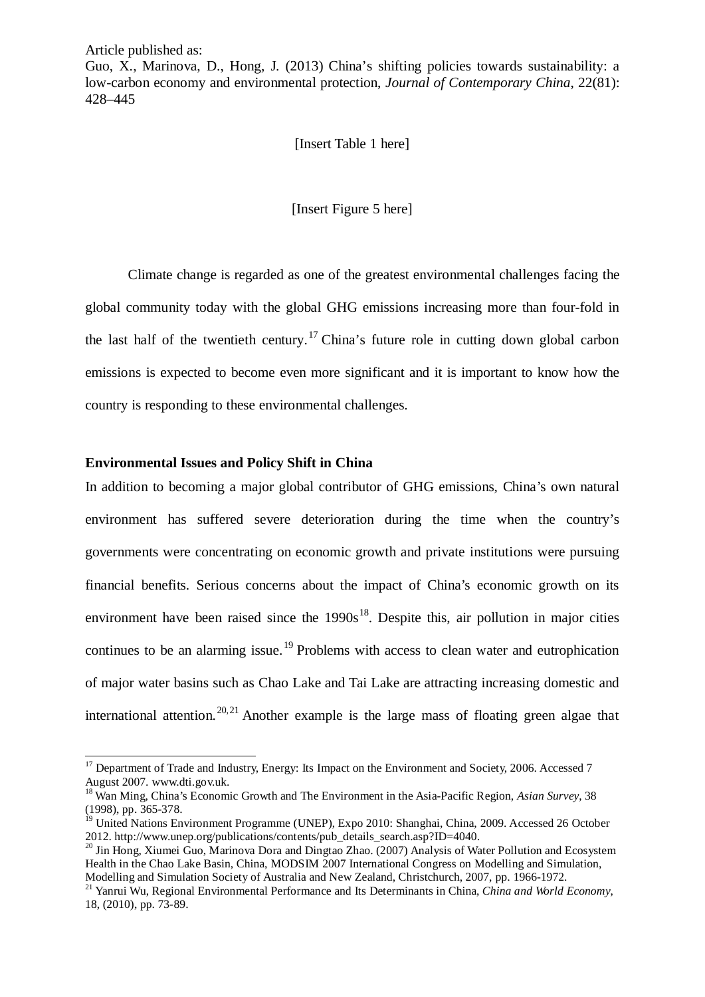-

Guo, X., Marinova, D., Hong, J. (2013) China's shifting policies towards sustainability: a low-carbon economy and environmental protection, *Journal of Contemporary China*, 22(81): 428–445

[Insert Table 1 here]

[Insert Figure 5 here]

Climate change is regarded as one of the greatest environmental challenges facing the global community today with the global GHG emissions increasing more than four-fold in the last half of the twentieth century.<sup>[17](#page-5-0)</sup> China's future role in cutting down global carbon emissions is expected to become even more significant and it is important to know how the country is responding to these environmental challenges.

### **Environmental Issues and Policy Shift in China**

In addition to becoming a major global contributor of GHG emissions, China's own natural environment has suffered severe deterioration during the time when the country's governments were concentrating on economic growth and private institutions were pursuing financial benefits. Serious concerns about the impact of China's economic growth on its environment have been raised since the  $1990s^{18}$  $1990s^{18}$  $1990s^{18}$ . Despite this, air pollution in major cities continues to be an alarming issue.<sup>[19](#page-5-2)</sup> Problems with access to clean water and eutrophication of major water basins such as Chao Lake and Tai Lake are attracting increasing domestic and international attention.<sup>[20](#page-5-3),[21](#page-5-4)</sup> Another example is the large mass of floating green algae that

<span id="page-5-0"></span><sup>&</sup>lt;sup>17</sup> Department of Trade and Industry, Energy: Its Impact on the Environment and Society, 2006. Accessed 7 August 2007. www.dti.gov.uk.

<span id="page-5-1"></span><sup>&</sup>lt;sup>18</sup> Wan Ming, China's Economic Growth and The Environment in the Asia-Pacific Region, *Asian Survey*, 38 (1998), pp. 365-378.

<span id="page-5-2"></span><sup>&</sup>lt;sup>19</sup> United Nations Environment Programme (UNEP), Expo 2010: Shanghai, China, 2009. Accessed 26 October 2012. http://www.unep.org/publications/contents/pub\_details\_search.asp?ID=4040.

<span id="page-5-3"></span><sup>&</sup>lt;sup>20</sup> Jin Hong, Xiumei Guo, Marinova Dora and Dingtao Zhao. (2007) Analysis of Water Pollution and Ecosystem Health in the Chao Lake Basin, China, MODSIM 2007 International Congress on Modelling and Simulation, Modelling and Simulation Society of Australia and New Zealand, Christchurch, 2007, pp. 1966-1972.

<span id="page-5-4"></span><sup>&</sup>lt;sup>21</sup> Yanrui Wu, Regional Environmental Performance and Its Determinants in China, *China and World Economy*, 18, (2010), pp. 73-89.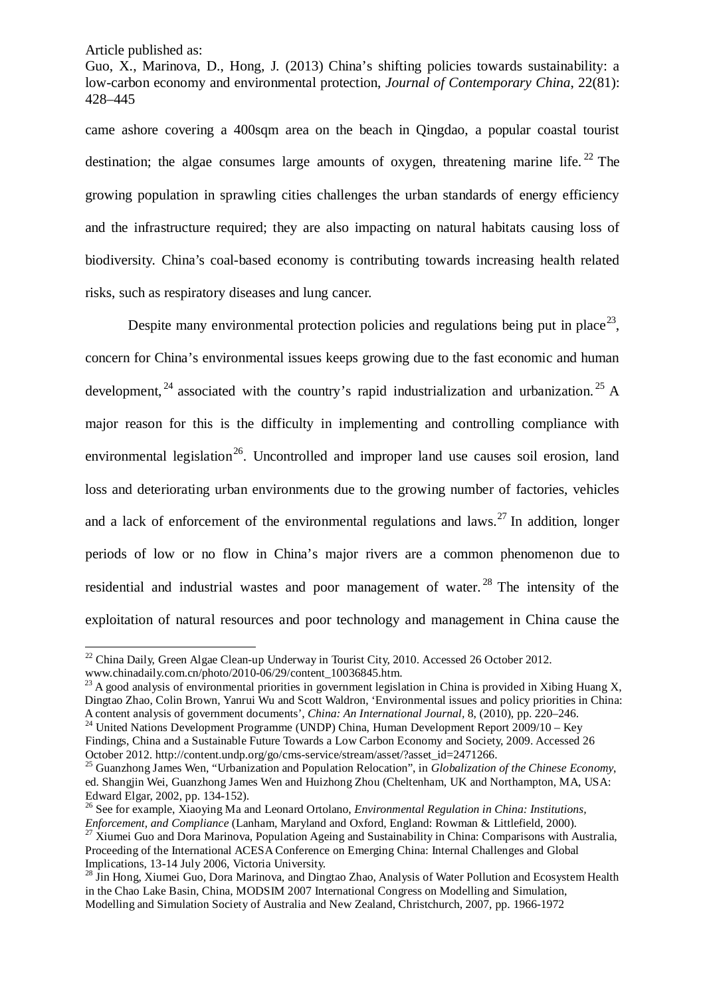Guo, X., Marinova, D., Hong, J. (2013) China's shifting policies towards sustainability: a low-carbon economy and environmental protection, *Journal of Contemporary China*, 22(81): 428–445

came ashore covering a 400sqm area on the beach in Qingdao, a popular coastal tourist destination; the algae consumes large amounts of oxygen, threatening marine life.  $^{22}$  $^{22}$  $^{22}$  The growing population in sprawling cities challenges the urban standards of energy efficiency and the infrastructure required; they are also impacting on natural habitats causing loss of biodiversity. China's coal-based economy is contributing towards increasing health related risks, such as respiratory diseases and lung cancer.

Despite many environmental protection policies and regulations being put in place<sup>[23](#page-6-1)</sup>, concern for China's environmental issues keeps growing due to the fast economic and human development,  $^{24}$  $^{24}$  $^{24}$  associated with the country's rapid industrialization and urbanization. <sup>[25](#page-6-3)</sup> A major reason for this is the difficulty in implementing and controlling compliance with environmental legislation<sup>[26](#page-6-4)</sup>. Uncontrolled and improper land use causes soil erosion, land loss and deteriorating urban environments due to the growing number of factories, vehicles and a lack of enforcement of the environmental regulations and laws.<sup>[27](#page-6-5)</sup> In addition, longer periods of low or no flow in China's major rivers are a common phenomenon due to residential and industrial wastes and poor management of water.<sup>[28](#page-6-6)</sup> The intensity of the exploitation of natural resources and poor technology and management in China cause the

 $22$  China Daily, Green Algae Clean-up Underway in Tourist City, 2010. Accessed 26 October 2012.  $\overline{\phantom{a}}$ 

<span id="page-6-1"></span><span id="page-6-0"></span>www.chinadaily.com.cn/photo/2010-06/29/content\_10036845.htm.<br><sup>23</sup> A good analysis of environmental priorities in government legislation in China is provided in Xibing Huang X, Dingtao Zhao, Colin Brown, Yanrui Wu and Scott Waldron, 'Environmental issues and policy priorities in China: A content analysis of government documents', China: An International Journal, 8, (2010), pp. 220–246. <sup>24</sup> United Nations Development Programme (UNDP) China, Human Development Report 2009/10 – Key

<span id="page-6-2"></span>Findings, China and a Sustainable Future Towards a Low Carbon Economy and Society, 2009. Accessed 26 October 2012. http://content.undp.org/go/cms-service/stream/asset/?asset\_id=2471266. <sup>25</sup> Guanzhong James Wen, "Urbanization and Population Relocation", in *Globalization of the Chinese Economy*,

<span id="page-6-3"></span>ed. Shangjin Wei, Guanzhong James Wen and Huizhong Zhou (Cheltenham, UK and Northampton, MA, USA:

<span id="page-6-4"></span><sup>&</sup>lt;sup>26</sup> See for example, Xiaoying Ma and Leonard Ortolano, *Environmental Regulation in China: Institutions, <i>Enforcement, and Compliance* (Lanham, Maryland and Oxford, England: Rowman & Littlefield, 2000).

<span id="page-6-5"></span><sup>&</sup>lt;sup>27</sup> Xiumei Guo and Dora Marinova, Population Ageing and Sustainability in China: Comparisons with Australia, Proceeding of the International ACESA Conference on Emerging China: Internal Challenges and Global Implications, 13-14 July 2006, Victoria University.

<span id="page-6-6"></span><sup>&</sup>lt;sup>28</sup> Jin Hong, Xiumei Guo, Dora Marinova, and Dingtao Zhao, Analysis of Water Pollution and Ecosystem Health in the Chao Lake Basin, China, MODSIM 2007 International Congress on Modelling and Simulation, Modelling and Simulation Society of Australia and New Zealand, Christchurch, 2007, pp. 1966-1972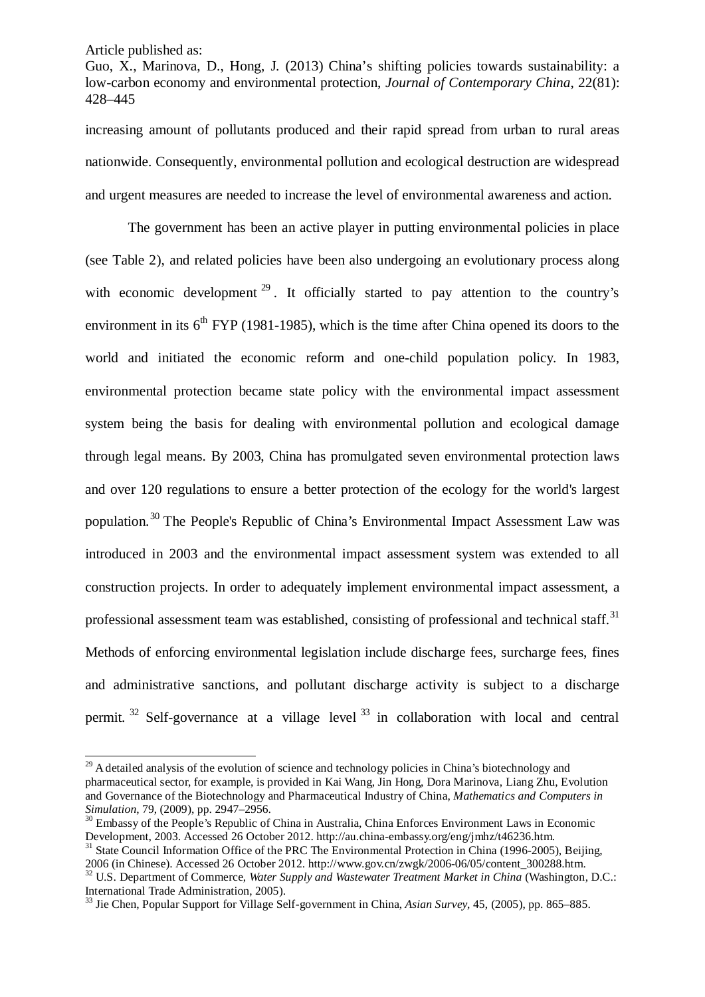-

Guo, X., Marinova, D., Hong, J. (2013) China's shifting policies towards sustainability: a low-carbon economy and environmental protection, *Journal of Contemporary China*, 22(81): 428–445

increasing amount of pollutants produced and their rapid spread from urban to rural areas nationwide. Consequently, environmental pollution and ecological destruction are widespread and urgent measures are needed to increase the level of environmental awareness and action.

The government has been an active player in putting environmental policies in place (see Table 2), and related policies have been also undergoing an evolutionary process along with economic development  $2^9$ . It officially started to pay attention to the country's environment in its  $6<sup>th</sup> FYP$  (1981-1985), which is the time after China opened its doors to the world and initiated the economic reform and one-child population policy. In 1983, environmental protection became state policy with the environmental impact assessment system being the basis for dealing with environmental pollution and ecological damage through legal means. By 2003, China has promulgated seven environmental protection laws and over 120 regulations to ensure a better protection of the ecology for the world's largest population.<sup>[30](#page-7-1)</sup> The People's Republic of China's Environmental Impact Assessment Law was introduced in 2003 and the environmental impact assessment system was extended to all construction projects. In order to adequately implement environmental impact assessment, a professional assessment team was established, consisting of professional and technical staff.<sup>[31](#page-7-2)</sup> Methods of enforcing environmental legislation include discharge fees, surcharge fees, fines and administrative sanctions, and pollutant discharge activity is subject to a discharge permit.  $32$  Self-governance at a village level  $33$  in collaboration with local and central

<span id="page-7-0"></span><sup>&</sup>lt;sup>29</sup> A detailed analysis of the evolution of science and technology policies in China's biotechnology and pharmaceutical sector, for example, is provided in Kai Wang, Jin Hong, Dora Marinova, Liang Zhu, Evolution and Governance of the Biotechnology and Pharmaceutical Industry of China, *Mathematics and Computers in* 

<span id="page-7-1"></span><sup>&</sup>lt;sup>30</sup> Embassy of the People's Republic of China in Australia, China Enforces Environment Laws in Economic Development, 2003. Accessed 26 October 2012. http://au.china-embassy.org/eng/jmhz/t46236.htm. <sup>31</sup> State Council Information Office of the PRC The Environmental Protection in China (1996-2005), Beijing, 2006 (in Chinese). Accessed 26 October 2012. http://www.gov.cn/zwgk/2006-06/05/content 300288.htm.

<span id="page-7-3"></span><span id="page-7-2"></span><sup>&</sup>lt;sup>32</sup> U.S. Department of Commerce, Water Supply and Wastewater Treatment Market in China (Washington, D.C.: International Trade Administration, 2005).

<span id="page-7-4"></span><sup>33</sup> Jie Chen, Popular Support for Village Self-government in China, *Asian Survey*, 45, (2005), pp. 865–885.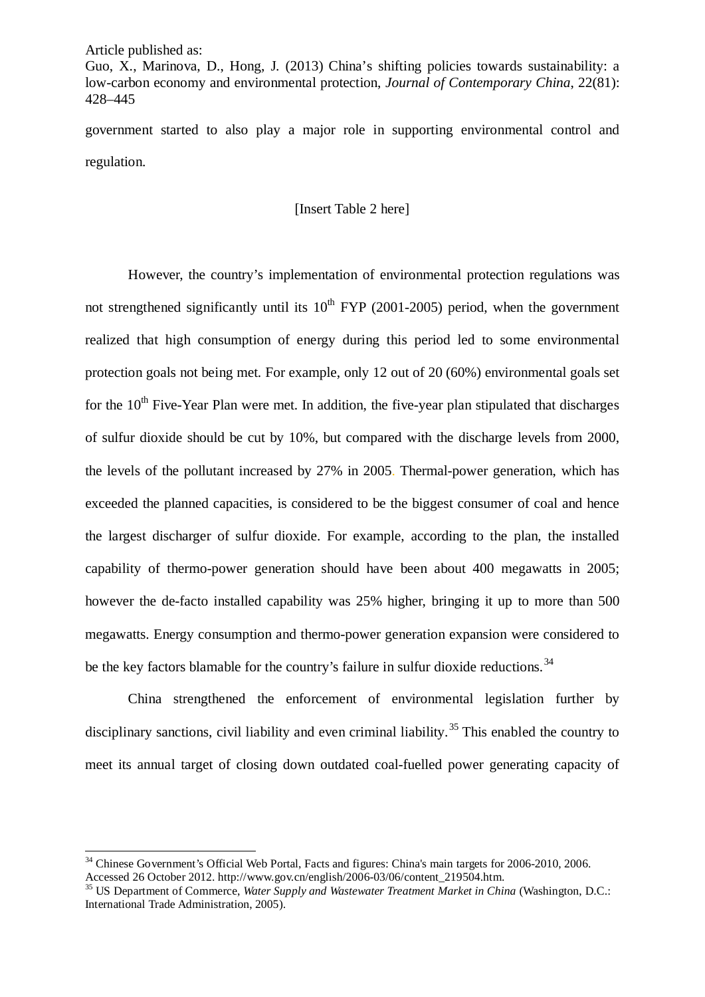Guo, X., Marinova, D., Hong, J. (2013) China's shifting policies towards sustainability: a low-carbon economy and environmental protection, *Journal of Contemporary China*, 22(81): 428–445

government started to also play a major role in supporting environmental control and regulation.

[Insert Table 2 here]

However, the country's implementation of environmental protection regulations was not strengthened significantly until its  $10^{th}$  FYP (2001-2005) period, when the government realized that high consumption of energy during this period led to some environmental protection goals not being met. For example, only 12 out of 20 (60%) environmental goals set for the  $10<sup>th</sup>$  Five-Year Plan were met. In addition, the five-year plan stipulated that discharges of sulfur dioxide should be cut by 10%, but compared with the discharge levels from 2000, the levels of the pollutant increased by 27% in 2005. Thermal-power generation, which has exceeded the planned capacities, is considered to be the biggest consumer of coal and hence the largest discharger of sulfur dioxide. For example, according to the plan, the installed capability of thermo-power generation should have been about 400 megawatts in 2005; however the de-facto installed capability was 25% higher, bringing it up to more than 500 megawatts. Energy consumption and thermo-power generation expansion were considered to be the key factors blamable for the country's failure in sulfur dioxide reductions.<sup>[34](#page-8-0)</sup>

China strengthened the enforcement of environmental legislation further by disciplinary sanctions, civil liability and even criminal liability.<sup>[35](#page-8-1)</sup> This enabled the country to meet its annual target of closing down outdated coal-fuelled power generating capacity of

<span id="page-8-0"></span><sup>&</sup>lt;sup>34</sup> Chinese Government's Official Web Portal, Facts and figures: China's main targets for 2006-2010, 2006. Accessed 26 October 2012. http://www.gov.cn/english/2006-03/06/content\_219504.htm.<br><sup>35</sup> US Department of Commerce, *Water Supply and Wastewater Treatment Market in China* (Washington, D.C.:

<span id="page-8-1"></span>International Trade Administration, 2005).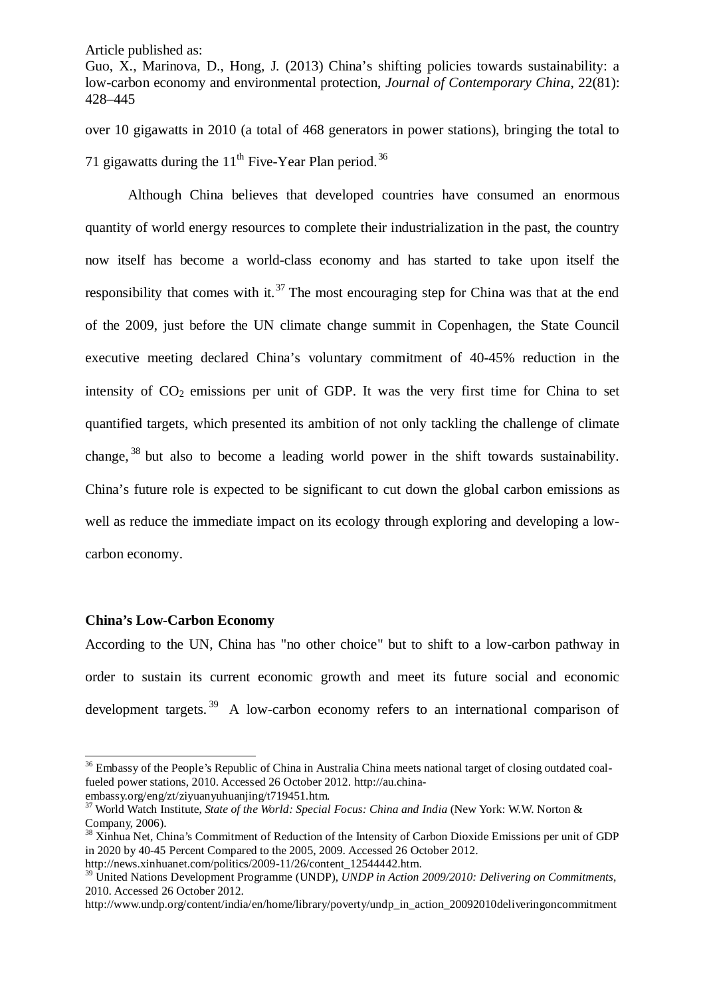Guo, X., Marinova, D., Hong, J. (2013) China's shifting policies towards sustainability: a low-carbon economy and environmental protection, *Journal of Contemporary China*, 22(81): 428–445

over 10 gigawatts in 2010 (a total of 468 generators in power stations), bringing the total to 71 gigawatts during the  $11<sup>th</sup>$  Five-Year Plan period.<sup>[36](#page-9-0)</sup>

Although China believes that developed countries have consumed an enormous quantity of world energy resources to complete their industrialization in the past, the country now itself has become a world-class economy and has started to take upon itself the responsibility that comes with it.<sup>[37](#page-9-1)</sup> The most encouraging step for China was that at the end of the 2009, just before the UN climate change summit in Copenhagen, the State Council executive meeting declared China's voluntary commitment of 40-45% reduction in the intensity of  $CO<sub>2</sub>$  emissions per unit of GDP. It was the very first time for China to set quantified targets, which presented its ambition of not only tackling the challenge of climate change, [38](#page-9-2) but also to become a leading world power in the shift towards sustainability. China's future role is expected to be significant to cut down the global carbon emissions as well as reduce the immediate impact on its ecology through exploring and developing a lowcarbon economy.

#### **China's Low-Carbon Economy**

-

According to the UN, China has "no other choice" but to shift to a low-carbon pathway in order to sustain its current economic growth and meet its future social and economic development targets.<sup>[39](#page-9-3)</sup> A low-carbon economy refers to an international comparison of

<span id="page-9-0"></span><sup>&</sup>lt;sup>36</sup> Embassy of the People's Republic of China in Australia China meets national target of closing outdated coalfueled power stations, 2010. Accessed 26 October 2012. http://au.china-<br>embassy.org/eng/zt/ziyuanyuhuanjing/t719451.htm.

<span id="page-9-1"></span><sup>&</sup>lt;sup>37</sup> World Watch Institute, *State of the World: Special Focus: China and India* (New York: W.W. Norton & Company, 2006).

<span id="page-9-2"></span><sup>&</sup>lt;sup>38</sup> Xinhua Net, China's Commitment of Reduction of the Intensity of Carbon Dioxide Emissions per unit of GDP in 2020 by 40-45 Percent Compared to the 2005, 2009. Accessed 26 October 2012.<br>http://news.xinhuanet.com/politics/2009-11/26/content 12544442.htm.

<span id="page-9-3"></span><sup>&</sup>lt;sup>39</sup> United Nations Development Programme (UNDP), *UNDP in Action 2009/2010: Delivering on Commitments*, 2010. Accessed 26 October 2012.

http://www.undp.org/content/india/en/home/library/poverty/undp\_in\_action\_20092010deliveringoncommitment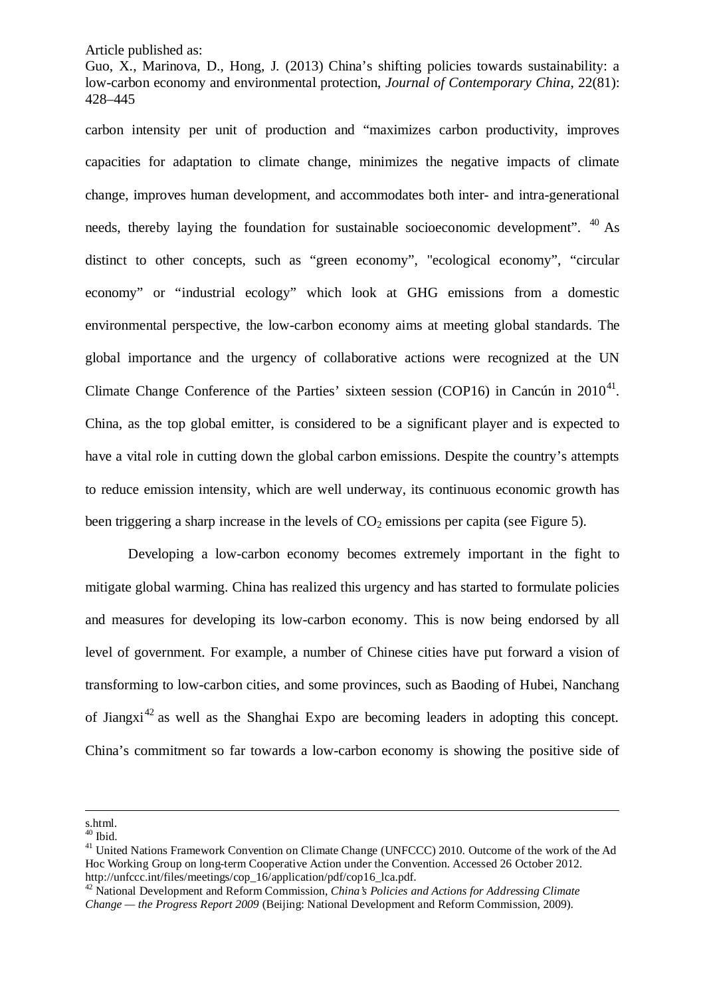Guo, X., Marinova, D., Hong, J. (2013) China's shifting policies towards sustainability: a low-carbon economy and environmental protection, *Journal of Contemporary China*, 22(81): 428–445

carbon intensity per unit of production and "maximizes carbon productivity, improves capacities for adaptation to climate change, minimizes the negative impacts of climate change, improves human development, and accommodates both inter- and intra-generational needs, thereby laying the foundation for sustainable socioeconomic development".  $40$  As distinct to other concepts, such as "green economy", "ecological economy", "circular economy" or "industrial ecology" which look at GHG emissions from a domestic environmental perspective, the low-carbon economy aims at meeting global standards. The global importance and the urgency of collaborative actions were recognized at the UN Climate Change Conference of the Parties' sixteen session (COP16) in Cancún in  $2010^{41}$  $2010^{41}$  $2010^{41}$ . China, as the top global emitter, is considered to be a significant player and is expected to have a vital role in cutting down the global carbon emissions. Despite the country's attempts to reduce emission intensity, which are well underway, its continuous economic growth has been triggering a sharp increase in the levels of  $CO<sub>2</sub>$  emissions per capita (see Figure 5).

Developing a low-carbon economy becomes extremely important in the fight to mitigate global warming. China has realized this urgency and has started to formulate policies and measures for developing its low-carbon economy. This is now being endorsed by all level of government. For example, a number of Chinese cities have put forward a vision of transforming to low-carbon cities, and some provinces, such as Baoding of Hubei, Nanchang of Jiangxi<sup>[42](#page-10-2)</sup> as well as the Shanghai Expo are becoming leaders in adopting this concept. China's commitment so far towards a low-carbon economy is showing the positive side of

s.html.

<span id="page-10-1"></span><span id="page-10-0"></span><sup>&</sup>lt;sup>40</sup> Ibid.  $41$  United Nations Framework Convention on Climate Change (UNFCCC) 2010. Outcome of the work of the Ad Hoc Working Group on long-term Cooperative Action under the Convention. Accessed 26 October 2012. http://unfccc.int/files/meetings/cop\_16/application/pdf/cop16\_lca.pdf.

<span id="page-10-2"></span><sup>42</sup> National Development and Reform Commission, *China's Policies and Actions for Addressing Climate Change — the Progress Report 2009* (Beijing: National Development and Reform Commission, 2009).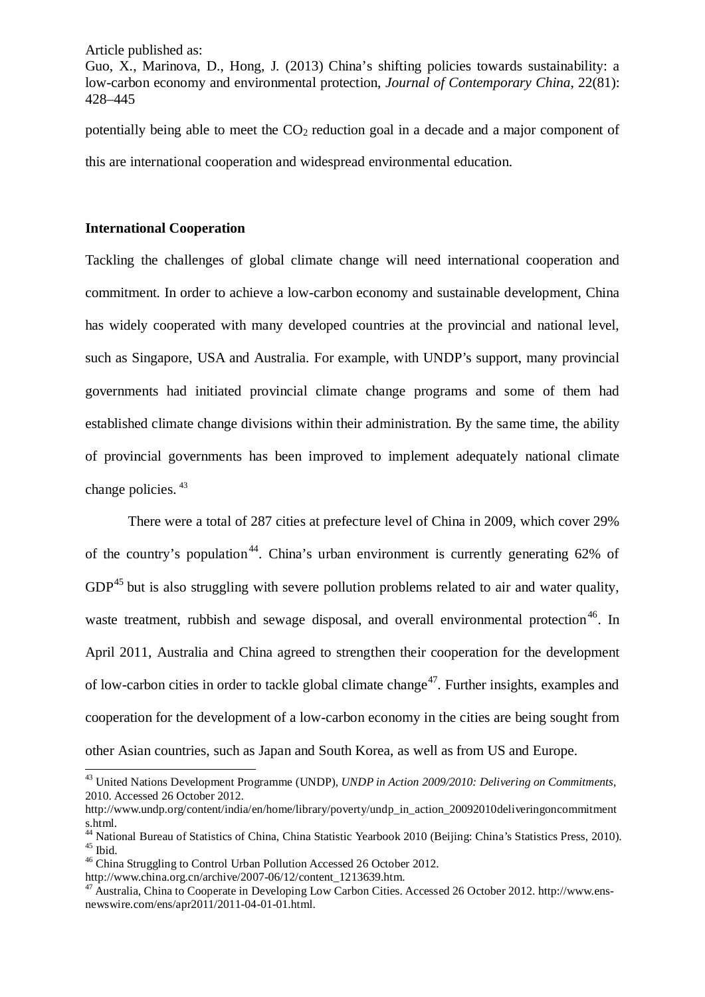Guo, X., Marinova, D., Hong, J. (2013) China's shifting policies towards sustainability: a low-carbon economy and environmental protection, *Journal of Contemporary China*, 22(81): 428–445

potentially being able to meet the  $CO<sub>2</sub>$  reduction goal in a decade and a major component of this are international cooperation and widespread environmental education.

#### **International Cooperation**

Tackling the challenges of global climate change will need international cooperation and commitment. In order to achieve a low-carbon economy and sustainable development, China has widely cooperated with many developed countries at the provincial and national level, such as Singapore, USA and Australia. For example, with UNDP's support, many provincial governments had initiated provincial climate change programs and some of them had established climate change divisions within their administration. By the same time, the ability of provincial governments has been improved to implement adequately national climate change policies. [43](#page-11-0)

There were a total of 287 cities at prefecture level of China in 2009, which cover 29% of the country's population<sup>[44](#page-11-1)</sup>. China's urban environment is currently generating  $62\%$  of  $GDP<sup>45</sup>$  $GDP<sup>45</sup>$  $GDP<sup>45</sup>$  but is also struggling with severe pollution problems related to air and water quality, waste treatment, rubbish and sewage disposal, and overall environmental protection<sup>[46](#page-11-3)</sup>. In April 2011, Australia and China agreed to strengthen their cooperation for the development of low-carbon cities in order to tackle global climate change<sup>47</sup>. Further insights, examples and cooperation for the development of a low-carbon economy in the cities are being sought from other Asian countries, such as Japan and South Korea, as well as from US and Europe.

<span id="page-11-0"></span><sup>43</sup> United Nations Development Programme (UNDP), *UNDP in Action 2009/2010: Delivering on Commitments*, 2010. Accessed 26 October 2012.  $\overline{a}$ 

http://www.undp.org/content/india/en/home/library/poverty/undp\_in\_action\_20092010deliveringoncommitment

<span id="page-11-2"></span><span id="page-11-1"></span><sup>&</sup>lt;sup>44</sup> National Bureau of Statistics of China, China Statistic Yearbook 2010 (Beijing: China's Statistics Press, 2010).<br><sup>45</sup> Ibid.  $\frac{45}{10}$  China Struggling to Control Urban Pollution Accessed 26 October 2012.<br>http://www

<span id="page-11-3"></span>

<span id="page-11-4"></span><sup>&</sup>lt;sup>47</sup> Australia, China to Cooperate in Developing Low Carbon Cities. Accessed 26 October 2012. http://www.ensnewswire.com/ens/apr2011/2011-04-01-01.html.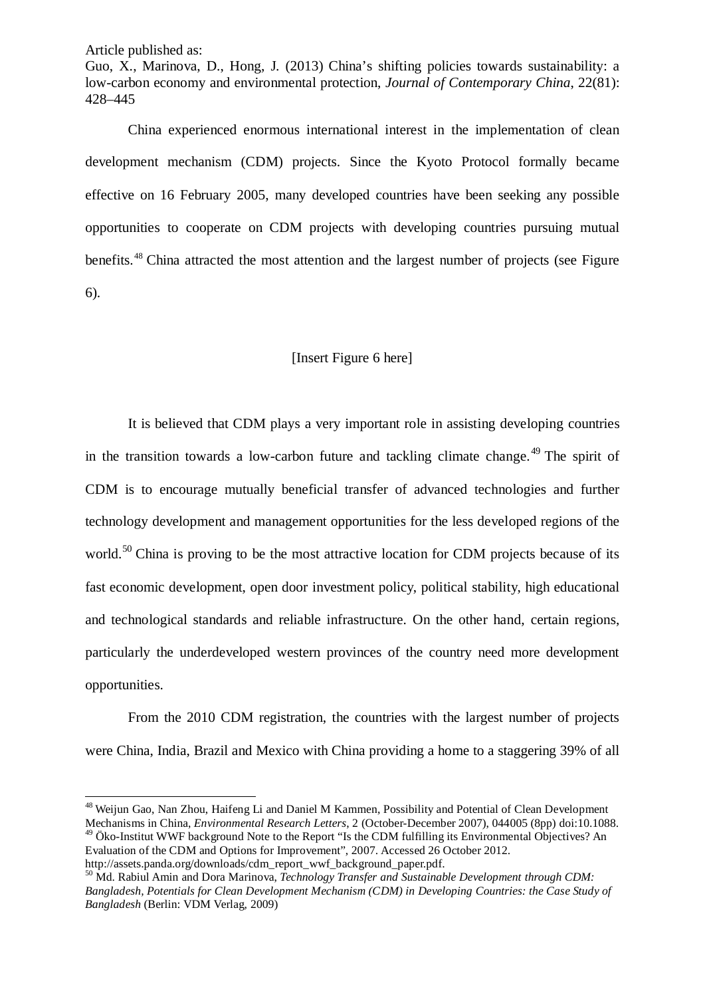Guo, X., Marinova, D., Hong, J. (2013) China's shifting policies towards sustainability: a low-carbon economy and environmental protection, *Journal of Contemporary China*, 22(81): 428–445

China experienced enormous international interest in the implementation of clean development mechanism (CDM) projects. Since the Kyoto Protocol formally became effective on 16 February 2005, many developed countries have been seeking any possible opportunities to cooperate on CDM projects with developing countries pursuing mutual benefits.[48](#page-12-0) China attracted the most attention and the largest number of projects (see Figure 6).

## [Insert Figure 6 here]

It is believed that CDM plays a very important role in assisting developing countries in the transition towards a low-carbon future and tackling climate change.<sup>[49](#page-12-1)</sup> The spirit of CDM is to encourage mutually beneficial transfer of advanced technologies and further technology development and management opportunities for the less developed regions of the world.<sup>[50](#page-12-2)</sup> China is proving to be the most attractive location for CDM projects because of its fast economic development, open door investment policy, political stability, high educational and technological standards and reliable infrastructure. On the other hand, certain regions, particularly the underdeveloped western provinces of the country need more development opportunities.

From the 2010 CDM registration, the countries with the largest number of projects were China, India, Brazil and Mexico with China providing a home to a staggering 39% of all

 $\overline{a}$ 

<span id="page-12-0"></span><sup>&</sup>lt;sup>48</sup> Weijun Gao, Nan Zhou, Haifeng Li and Daniel M Kammen, Possibility and Potential of Clean Development<br>Mechanisms in China, *Environmental Research Letters*, 2 (October-December 2007), 044005 (8pp) doi:10.1088. <sup>49</sup> Öko-Institut WWF background Note to the Report "Is the CDM fulfilling its Environmental Objectives? An

<span id="page-12-1"></span>Evaluation of the CDM and Options for Improvement", 2007. Accessed 26 October 2012.<br>http://assets.panda.org/downloads/cdm\_report\_wwf\_background\_paper.pdf.

<span id="page-12-2"></span><sup>&</sup>lt;sup>50</sup> Md. Rabiul Amin and Dora Marinova, *Technology Transfer and Sustainable Development through CDM: Bangladesh, Potentials for Clean Development Mechanism (CDM) in Developing Countries: the Case Study of Bangladesh* (Berlin: VDM Verlag, 2009)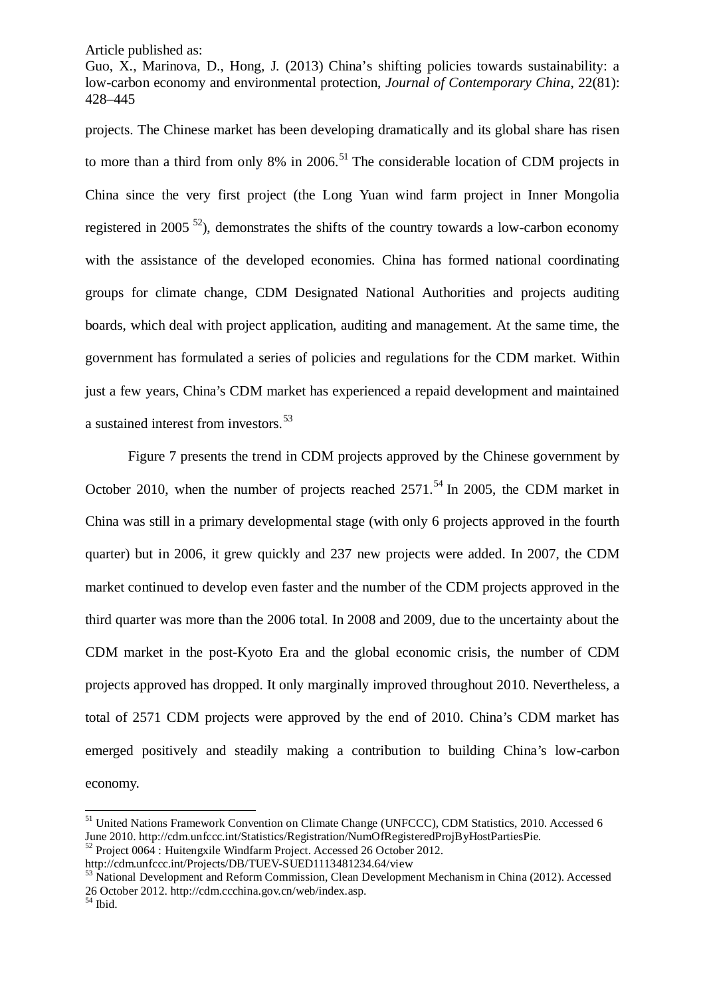Guo, X., Marinova, D., Hong, J. (2013) China's shifting policies towards sustainability: a low-carbon economy and environmental protection, *Journal of Contemporary China*, 22(81): 428–445

projects. The Chinese market has been developing dramatically and its global share has risen to more than a third from only 8% in 2006.<sup>[51](#page-13-0)</sup> The considerable location of CDM projects in China since the very first project (the Long Yuan wind farm project in Inner Mongolia registered in 2005<sup>52</sup>), demonstrates the shifts of the country towards a low-carbon economy with the assistance of the developed economies. China has formed national coordinating groups for climate change, CDM Designated National Authorities and projects auditing boards, which deal with project application, auditing and management. At the same time, the government has formulated a series of policies and regulations for the CDM market. Within just a few years, China's CDM market has experienced a repaid development and maintained a sustained interest from investors.<sup>[53](#page-13-2)</sup>

Figure 7 presents the trend in CDM projects approved by the Chinese government by October 2010, when the number of projects reached  $2571$ .<sup>[54](#page-13-3)</sup> In 2005, the CDM market in China was still in a primary developmental stage (with only 6 projects approved in the fourth quarter) but in 2006, it grew quickly and 237 new projects were added. In 2007, the CDM market continued to develop even faster and the number of the CDM projects approved in the third quarter was more than the 2006 total. In 2008 and 2009, due to the uncertainty about the CDM market in the post-Kyoto Era and the global economic crisis, the number of CDM projects approved has dropped. It only marginally improved throughout 2010. Nevertheless, a total of 2571 CDM projects were approved by the end of 2010. China's CDM market has emerged positively and steadily making a contribution to building China's low-carbon economy.

-

<span id="page-13-0"></span><sup>&</sup>lt;sup>51</sup> United Nations Framework Convention on Climate Change (UNFCCC), CDM Statistics, 2010. Accessed 6 June 2010. http://cdm.unfccc.int/Statistics/Registration/NumOfRegisteredProjByHostPartiesPie.<br><sup>52</sup> Project 0064 : Huitengxile Windfarm Project. Accessed 26 October 2012.<br>http://cdm.unfccc.int/Projects/DB/TUEV-SUED111348123

<span id="page-13-1"></span>

<span id="page-13-2"></span> $h<sup>53</sup>$  National Development and Reform Commission, Clean Development Mechanism in China (2012). Accessed 26 October 2012. http://cdm.ccchina.gov.cn/web/index.asp. <sup>54</sup> Ibid.

<span id="page-13-3"></span>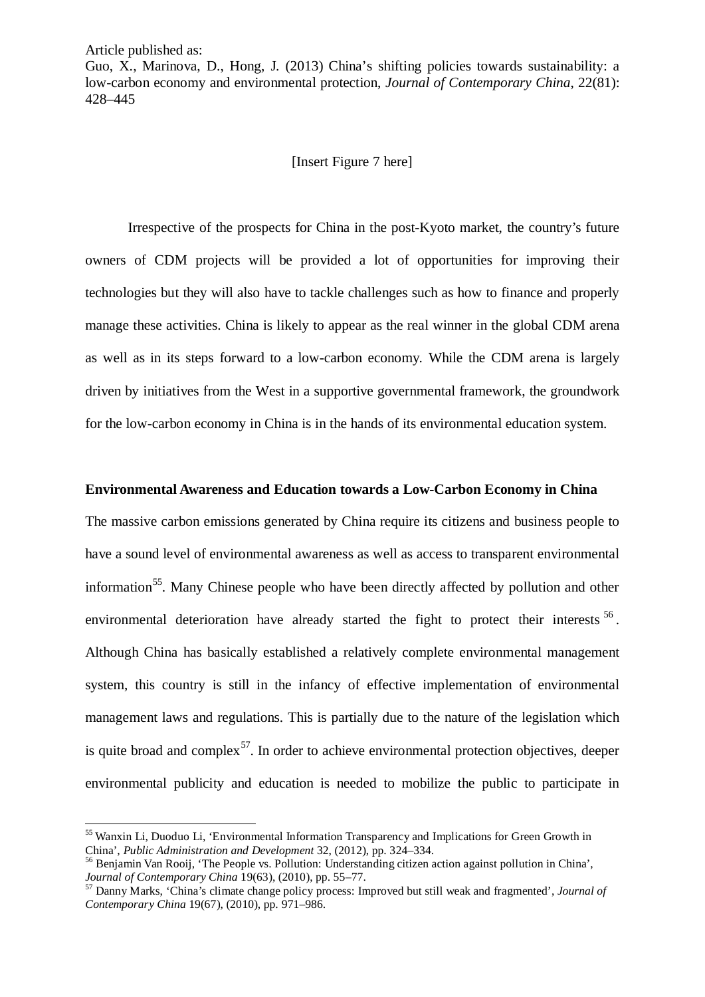-

Guo, X., Marinova, D., Hong, J. (2013) China's shifting policies towards sustainability: a low-carbon economy and environmental protection, *Journal of Contemporary China*, 22(81): 428–445

#### [Insert Figure 7 here]

Irrespective of the prospects for China in the post-Kyoto market, the country's future owners of CDM projects will be provided a lot of opportunities for improving their technologies but they will also have to tackle challenges such as how to finance and properly manage these activities. China is likely to appear as the real winner in the global CDM arena as well as in its steps forward to a low-carbon economy. While the CDM arena is largely driven by initiatives from the West in a supportive governmental framework, the groundwork for the low-carbon economy in China is in the hands of its environmental education system.

#### **Environmental Awareness and Education towards a Low-Carbon Economy in China**

The massive carbon emissions generated by China require its citizens and business people to have a sound level of environmental awareness as well as access to transparent environmental information<sup>55</sup>. Many Chinese people who have been directly affected by pollution and other environmental deterioration have already started the fight to protect their interests <sup>[56](#page-14-1)</sup>. Although China has basically established a relatively complete environmental management system, this country is still in the infancy of effective implementation of environmental management laws and regulations. This is partially due to the nature of the legislation which is quite broad and complex<sup>[57](#page-14-2)</sup>. In order to achieve environmental protection objectives, deeper environmental publicity and education is needed to mobilize the public to participate in

<span id="page-14-0"></span><sup>&</sup>lt;sup>55</sup> Wanxin Li, Duoduo Li, 'Environmental Information Transparency and Implications for Green Growth in

<span id="page-14-1"></span>China', *Public Administration and Development* 32, (2012), pp. 324–334.<br><sup>56</sup> Benjamin Van Rooij, 'The People vs. Pollution: Understanding citizen action against pollution in China', *Journal of Contemporary China* 19(63),

<span id="page-14-2"></span><sup>&</sup>lt;sup>57</sup> Danny Marks, 'China's climate change policy process: Improved but still weak and fragmented', *Journal of Contemporary China* 19(67), (2010), pp. 971–986.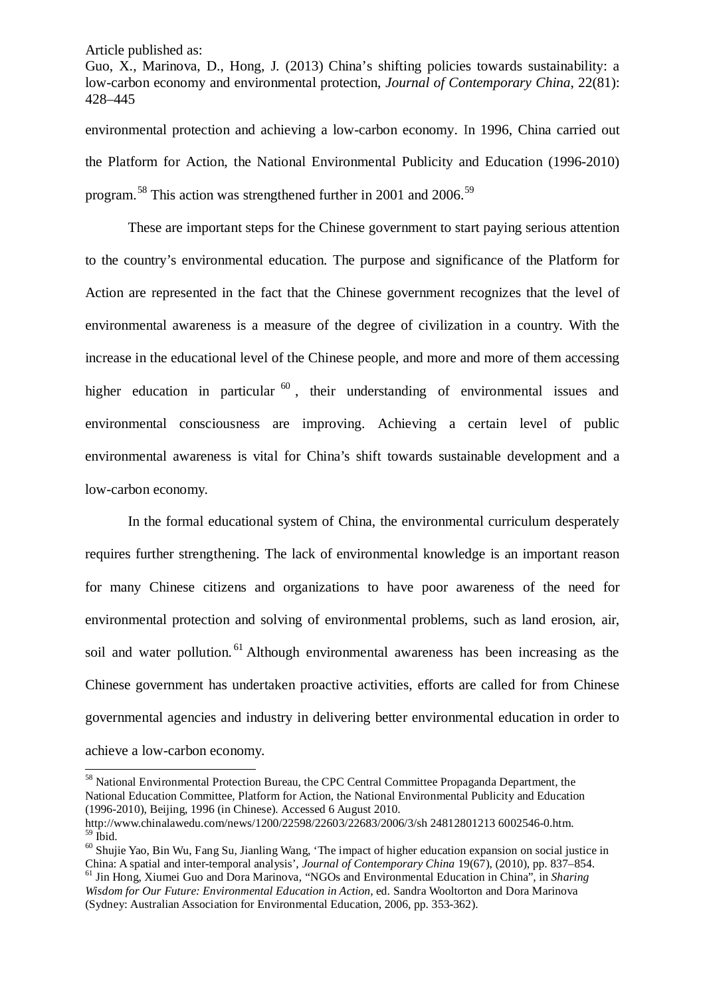Guo, X., Marinova, D., Hong, J. (2013) China's shifting policies towards sustainability: a low-carbon economy and environmental protection, *Journal of Contemporary China*, 22(81): 428–445

environmental protection and achieving a low-carbon economy. In 1996, China carried out the Platform for Action, the National Environmental Publicity and Education (1996-2010) program.<sup>[58](#page-15-0)</sup> This action was strengthened further in 2001 and 2006.<sup>[59](#page-15-1)</sup>

These are important steps for the Chinese government to start paying serious attention to the country's environmental education. The purpose and significance of the Platform for Action are represented in the fact that the Chinese government recognizes that the level of environmental awareness is a measure of the degree of civilization in a country. With the increase in the educational level of the Chinese people, and more and more of them accessing higher education in particular  $60$ , their understanding of environmental issues and environmental consciousness are improving. Achieving a certain level of public environmental awareness is vital for China's shift towards sustainable development and a low-carbon economy.

In the formal educational system of China, the environmental curriculum desperately requires further strengthening. The lack of environmental knowledge is an important reason for many Chinese citizens and organizations to have poor awareness of the need for environmental protection and solving of environmental problems, such as land erosion, air, soil and water pollution.<sup>[61](#page-15-3)</sup> Although environmental awareness has been increasing as the Chinese government has undertaken proactive activities, efforts are called for from Chinese governmental agencies and industry in delivering better environmental education in order to achieve a low-carbon economy.

<span id="page-15-0"></span><sup>&</sup>lt;sup>58</sup> National Environmental Protection Bureau, the CPC Central Committee Propaganda Department, the National Education Committee, Platform for Action, the National Environmental Publicity and Education (1996-2010), Beijing, 1996 (in Chinese). Accessed 6 August 2010.  $\overline{\phantom{a}}$ 

<span id="page-15-2"></span><span id="page-15-1"></span><sup>&</sup>lt;sup>59</sup> Ibid.<br><sup>60</sup> Shujie Yao, Bin Wu, Fang Su, Jianling Wang, 'The impact of higher education expansion on social justice in China: A spatial and inter-temporal analysis', *Journal of Contemporary China* 19(67), (2010), pp.

<span id="page-15-3"></span><sup>&</sup>lt;sup>61</sup> Jin Hong, Xiumei Guo and Dora Marinova, "NGOs and Environmental Education in China", in *Sharing Wisdom for Our Future: Environmental Education in Action,* ed. Sandra Wooltorton and Dora Marinova (Sydney: Australian Association for Environmental Education, 2006, pp. 353-362).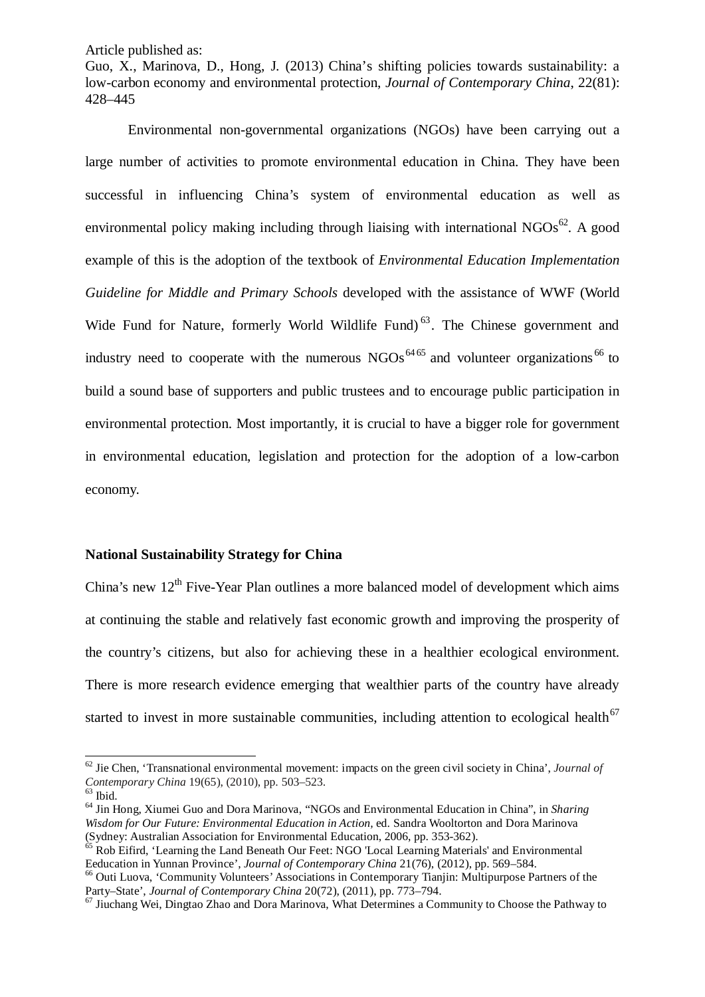Guo, X., Marinova, D., Hong, J. (2013) China's shifting policies towards sustainability: a low-carbon economy and environmental protection, *Journal of Contemporary China*, 22(81): 428–445

Environmental non-governmental organizations (NGOs) have been carrying out a large number of activities to promote environmental education in China. They have been successful in influencing China's system of environmental education as well as environmental policy making including through liaising with international  $NGOs<sup>62</sup>$ . A good example of this is the adoption of the textbook of *Environmental Education Implementation Guideline for Middle and Primary Schools* developed with the assistance of WWF (World Wide Fund for Nature, formerly World Wildlife Fund)<sup>[63](#page-16-1)</sup>. The Chinese government and industry need to cooperate with the numerous  $NGOs<sup>64-65</sup>$  $NGOs<sup>64-65</sup>$  $NGOs<sup>64-65</sup>$  $NGOs<sup>64-65</sup>$  $NGOs<sup>64-65</sup>$  and volunteer organizations<sup>[66](#page-16-4)</sup> to build a sound base of supporters and public trustees and to encourage public participation in environmental protection. Most importantly, it is crucial to have a bigger role for government in environmental education, legislation and protection for the adoption of a low-carbon economy.

#### **National Sustainability Strategy for China**

China's new  $12^{th}$  Five-Year Plan outlines a more balanced model of development which aims at continuing the stable and relatively fast economic growth and improving the prosperity of the country's citizens, but also for achieving these in a healthier ecological environment. There is more research evidence emerging that wealthier parts of the country have already started to invest in more sustainable communities, including attention to ecological health<sup>[67](#page-16-5)</sup>

-

<span id="page-16-0"></span> $62$  Jie Chen, 'Transnational environmental movement: impacts on the green civil society in China', *Journal of* Contemporary China 19(65), (2010), pp. 503–523.

<span id="page-16-2"></span><span id="page-16-1"></span><sup>&</sup>lt;sup>63</sup> Ibid.<br><sup>64</sup> Jin Hong, Xiumei Guo and Dora Marinova, "NGOs and Environmental Education in China", in *Sharing Wisdom for Our Future: Environmental Education in Action,* ed. Sandra Wooltorton and Dora Marinova

<span id="page-16-3"></span><sup>(</sup>Sydney: Australian Association for Environmental Education, 2006, pp. 353-362).<br><sup>65</sup> Rob Eifird, 'Learning the Land Beneath Our Feet: NGO 'Local Learning Materials' and Environmental Eeducation in Yunnan Province', *Jour* 

<span id="page-16-4"></span><sup>&</sup>lt;sup>66</sup> Outi Luova, 'Community Volunteers' Associations in Contemporary Tianjin: Multipurpose Partners of the Party–State', *Journal of Contemporary China* 20(72), (2011), pp. 773–794.

<span id="page-16-5"></span><sup>&</sup>lt;sup>67</sup> Jiuchang Wei, Dingtao Zhao and Dora Marinova, What Determines a Community to Choose the Pathway to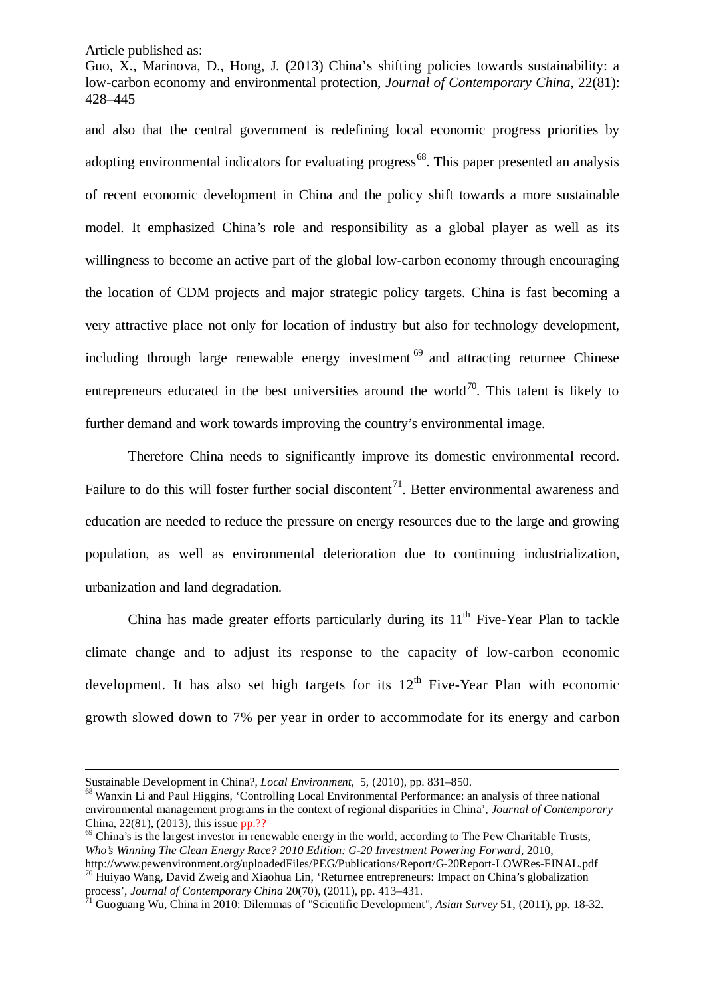Guo, X., Marinova, D., Hong, J. (2013) China's shifting policies towards sustainability: a low-carbon economy and environmental protection, *Journal of Contemporary China*, 22(81): 428–445

and also that the central government is redefining local economic progress priorities by adopting environmental indicators for evaluating progress<sup>[68](#page-17-0)</sup>. This paper presented an analysis of recent economic development in China and the policy shift towards a more sustainable model. It emphasized China's role and responsibility as a global player as well as its willingness to become an active part of the global low-carbon economy through encouraging the location of CDM projects and major strategic policy targets. China is fast becoming a very attractive place not only for location of industry but also for technology development, including through large renewable energy investment  $69$  and attracting returnee Chinese entrepreneurs educated in the best universities around the world<sup>70</sup>. This talent is likely to further demand and work towards improving the country's environmental image.

Therefore China needs to significantly improve its domestic environmental record. Failure to do this will foster further social discontent<sup>71</sup>. Better environmental awareness and education are needed to reduce the pressure on energy resources due to the large and growing population, as well as environmental deterioration due to continuing industrialization, urbanization and land degradation.

China has made greater efforts particularly during its  $11<sup>th</sup>$  Five-Year Plan to tackle climate change and to adjust its response to the capacity of low-carbon economic development. It has also set high targets for its  $12<sup>th</sup>$  Five-Year Plan with economic growth slowed down to 7% per year in order to accommodate for its energy and carbon

-

<span id="page-17-0"></span>Sustainable Development in China?, *Local Environment*, 5, (2010), pp. 831–850.<br><sup>68</sup> Wanxin Li and Paul Higgins, 'Controlling Local Environmental Performance: an analysis of three national environmental management programs in the context of regional disparities in China', *Journal of Contemporary* 

<span id="page-17-1"></span> $69$  China's is the largest investor in renewable energy in the world, according to The Pew Charitable Trusts, *Who's Winning The Clean Energy Race? 2010 Edition: G-20 Investment Powering Forward, 2010,*<br>http://www.pewenvironment.org/uploadedFiles/PEG/Publications/Report/G-20Report-LOWRes-FINAL.pdf <sup>70</sup> Huiyao Wang, David Zweig and Xiaohua Lin, 'Returnee entrepreneurs: Impact on China's globalization

<span id="page-17-2"></span>process', *Journal of Contemporary China* 20(70), (2011), pp. 413–431.<br><sup>71</sup> Guoguang Wu, China in 2010: Dilemmas of "Scientific Development", *Asian Survey* 51, (2011), pp. 18-32.

<span id="page-17-3"></span>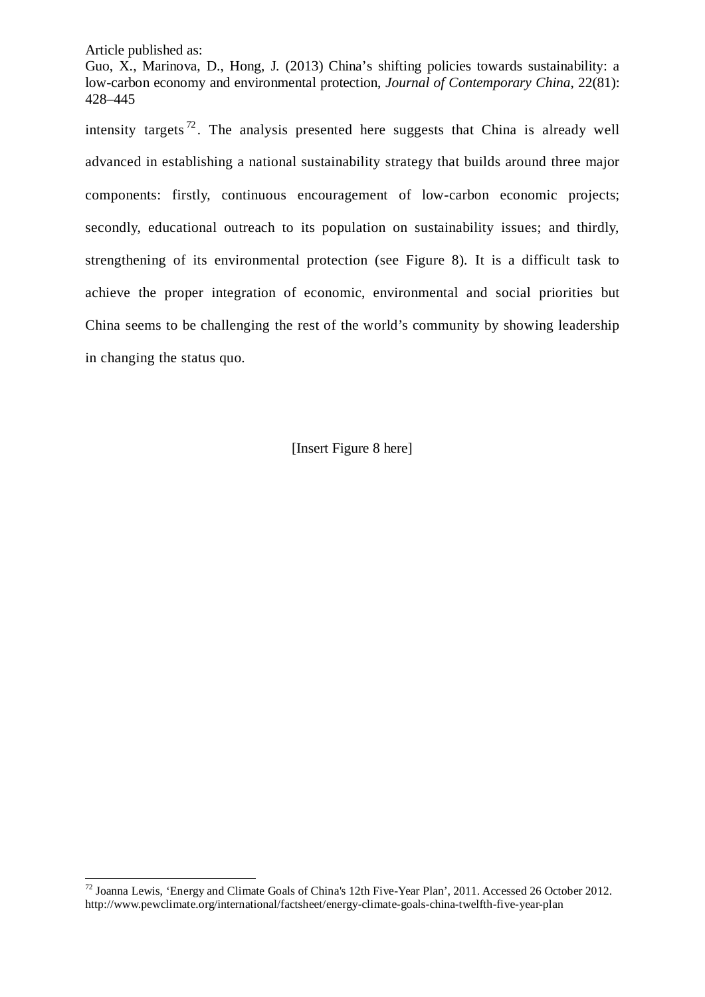Guo, X., Marinova, D., Hong, J. (2013) China's shifting policies towards sustainability: a low-carbon economy and environmental protection, *Journal of Contemporary China*, 22(81): 428–445

intensity targets<sup> $72$ </sup>. The analysis presented here suggests that China is already well advanced in establishing a national sustainability strategy that builds around three major components: firstly, continuous encouragement of low-carbon economic projects; secondly, educational outreach to its population on sustainability issues; and thirdly, strengthening of its environmental protection (see Figure 8). It is a difficult task to achieve the proper integration of economic, environmental and social priorities but China seems to be challenging the rest of the world's community by showing leadership in changing the status quo.

[Insert Figure 8 here]

<span id="page-18-0"></span> $^{72}$  Joanna Lewis, 'Energy and Climate Goals of China's 12th Five-Year Plan', 2011. Accessed 26 October 2012. http://www.pewclimate.org/international/factsheet/energy-climate-goals-china-twelfth-five-year-plan -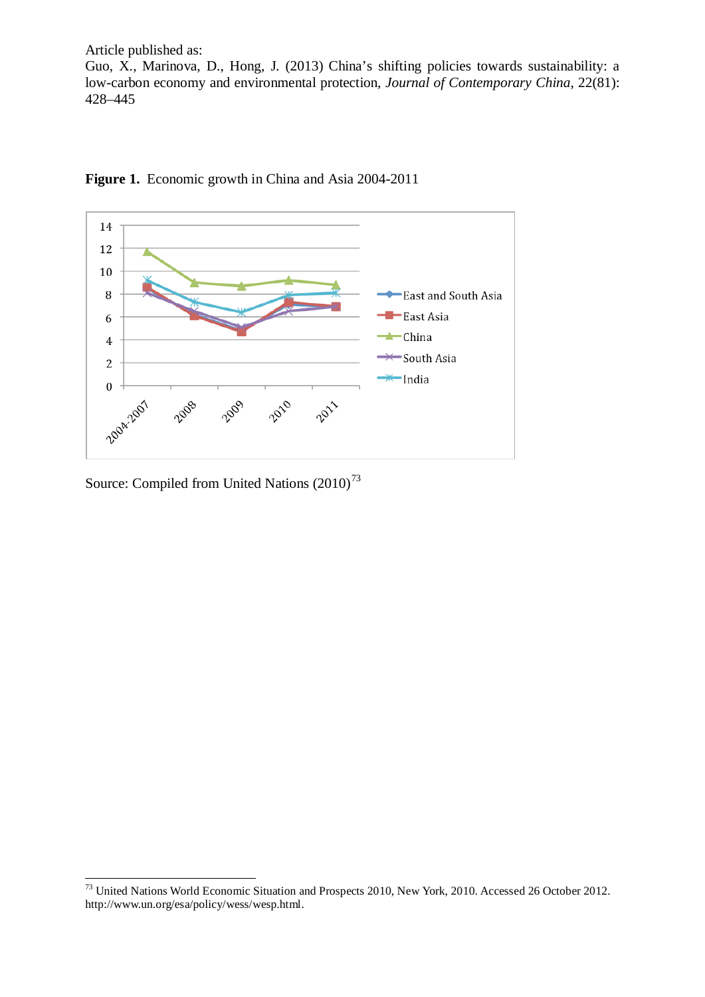Article published as: Guo, X., Marinova, D., Hong, J. (2013) China's shifting policies towards sustainability: a low-carbon economy and environmental protection, *Journal of Contemporary China*, 22(81): 428–445



# Figure 1. Economic growth in China and Asia 2004-2011

Source: Compiled from United Nations  $(2010)^{73}$  $(2010)^{73}$  $(2010)^{73}$ 

<span id="page-19-0"></span><sup>&</sup>lt;sup>73</sup> United Nations World Economic Situation and Prospects 2010, New York, 2010. Accessed 26 October 2012. http://www.un.org/esa/policy/wess/wesp.html. -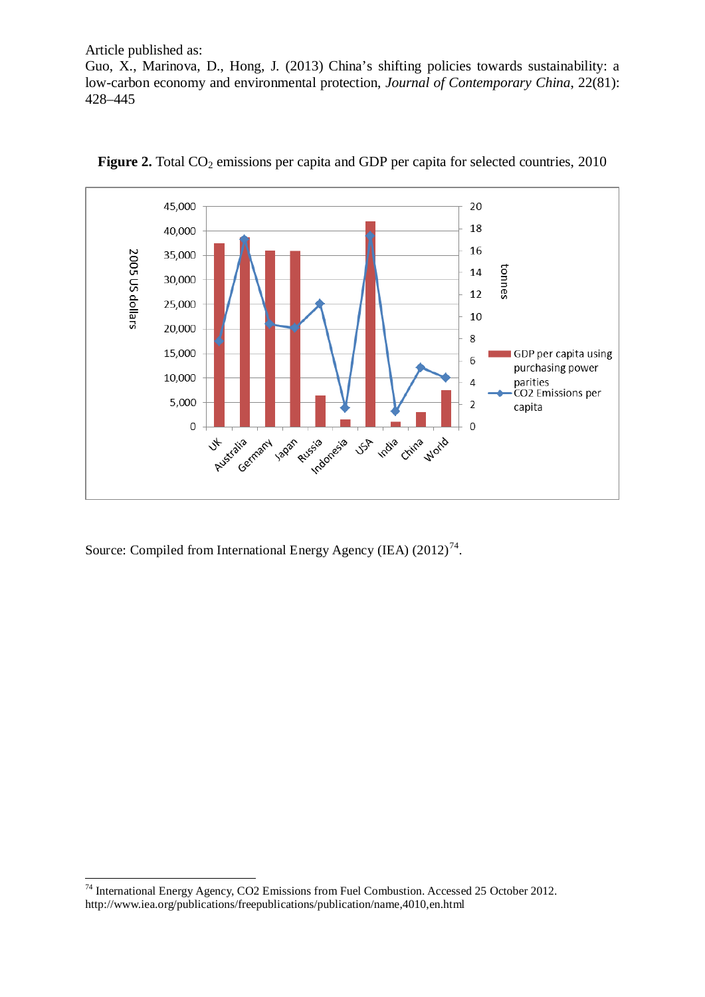Guo, X., Marinova, D., Hong, J. (2013) China's shifting policies towards sustainability: a low-carbon economy and environmental protection, *Journal of Contemporary China*, 22(81): 428–445





Source: Compiled from International Energy Agency (IEA) (2012)<sup>74</sup>.

<span id="page-20-0"></span><sup>&</sup>lt;sup>74</sup> International Energy Agency, CO2 Emissions from Fuel Combustion. Accessed 25 October 2012. http://www.iea.org/publications/freepublications/publication/name,4010,en.html -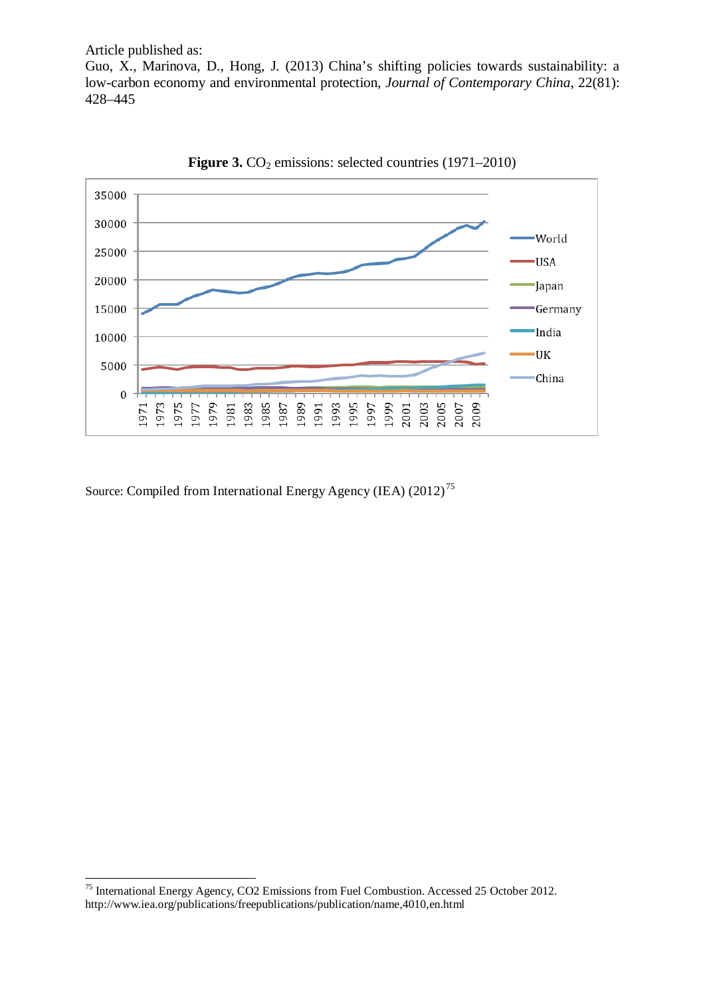Guo, X., Marinova, D., Hong, J. (2013) China's shifting policies towards sustainability: a low-carbon economy and environmental protection, *Journal of Contemporary China*, 22(81): 428–445





<span id="page-21-0"></span><sup>&</sup>lt;sup>75</sup> International Energy Agency, CO2 Emissions from Fuel Combustion. Accessed 25 October 2012. http://www.iea.org/publications/freepublications/publication/name,4010,en.html -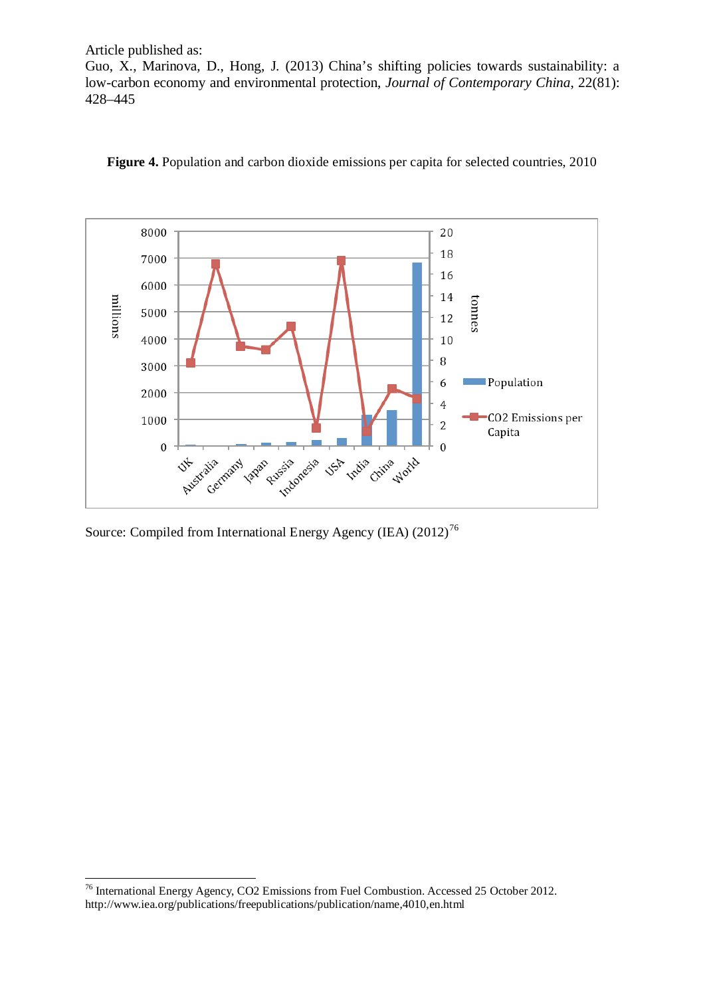Guo, X., Marinova, D., Hong, J. (2013) China's shifting policies towards sustainability: a low-carbon economy and environmental protection, *Journal of Contemporary China*, 22(81): 428–445



**Figure 4.** Population and carbon dioxide emissions per capita for selected countries, 2010

<span id="page-22-0"></span><sup>&</sup>lt;sup>76</sup> International Energy Agency, CO2 Emissions from Fuel Combustion. Accessed 25 October 2012. http://www.iea.org/publications/freepublications/publication/name,4010,en.html -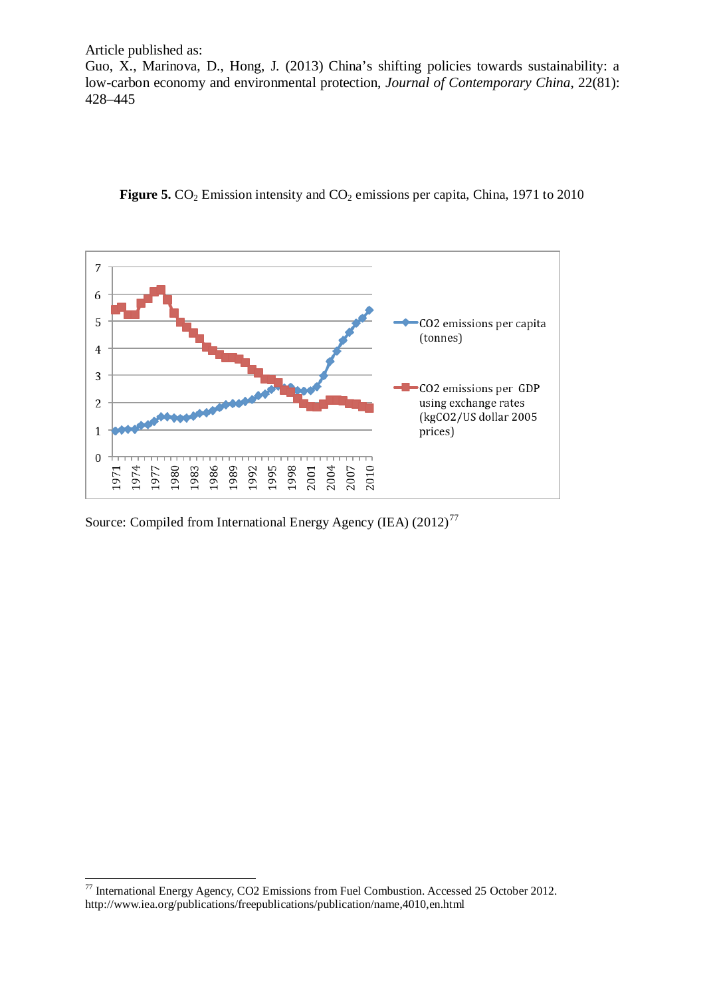Guo, X., Marinova, D., Hong, J. (2013) China's shifting policies towards sustainability: a low-carbon economy and environmental protection, *Journal of Contemporary China*, 22(81): 428–445





<span id="page-23-0"></span> $77$  International Energy Agency, CO2 Emissions from Fuel Combustion. Accessed 25 October 2012. http://www.iea.org/publications/freepublications/publication/name,4010,en.html -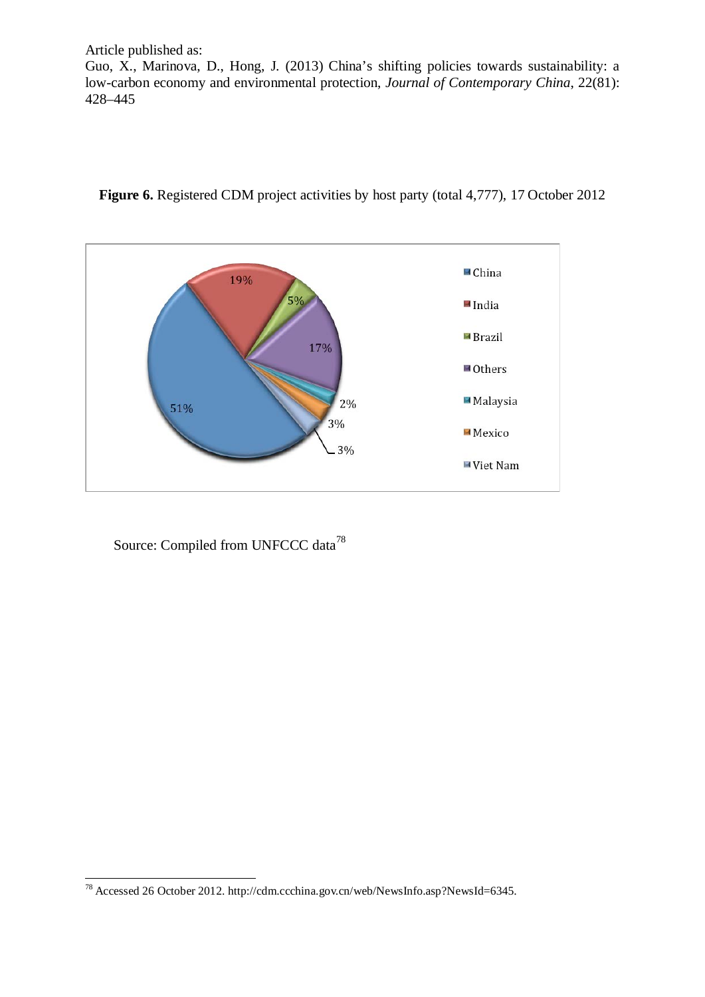Article published as: Guo, X., Marinova, D., Hong, J. (2013) China's shifting policies towards sustainability: a low-carbon economy and environmental protection, *Journal of Contemporary China*, 22(81): 428–445



Figure 6. Registered CDM project activities by host party (total 4,777), 17 October 2012

<span id="page-24-0"></span><sup>78</sup> Accessed 26 October 2012. http://cdm.ccchina.gov.cn/web/NewsInfo.asp?NewsId=6345. -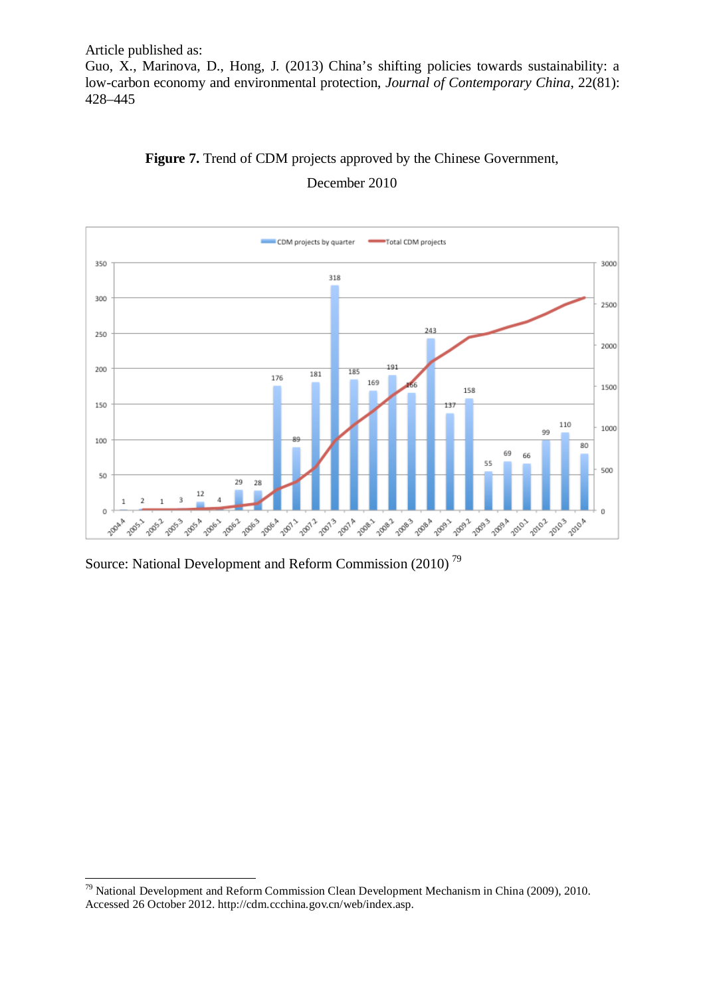Article published as: Guo, X., Marinova, D., Hong, J. (2013) China's shifting policies towards sustainability: a low-carbon economy and environmental protection, *Journal of Contemporary China*, 22(81): 428–445





<span id="page-25-0"></span> $79$  National Development and Reform Commission Clean Development Mechanism in China (2009), 2010. Accessed 26 October 2012. http://cdm.ccchina.gov.cn/web/index.asp. -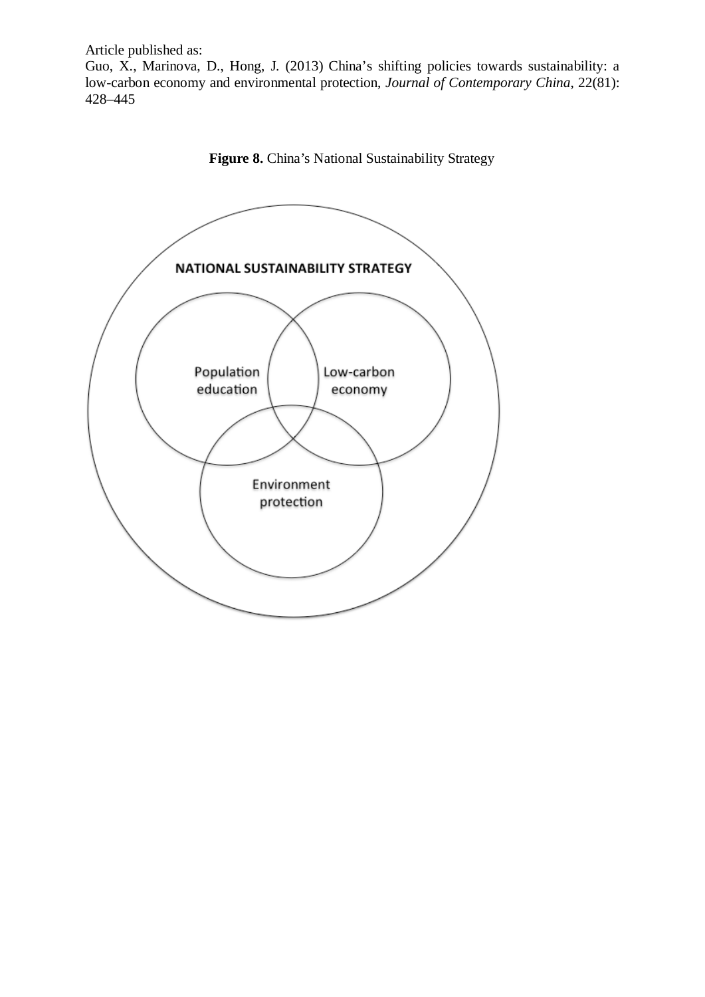Guo, X., Marinova, D., Hong, J. (2013) China's shifting policies towards sustainability: a low-carbon economy and environmental protection, *Journal of Contemporary China*, 22(81): 428–445



Figure 8. China's National Sustainability Strategy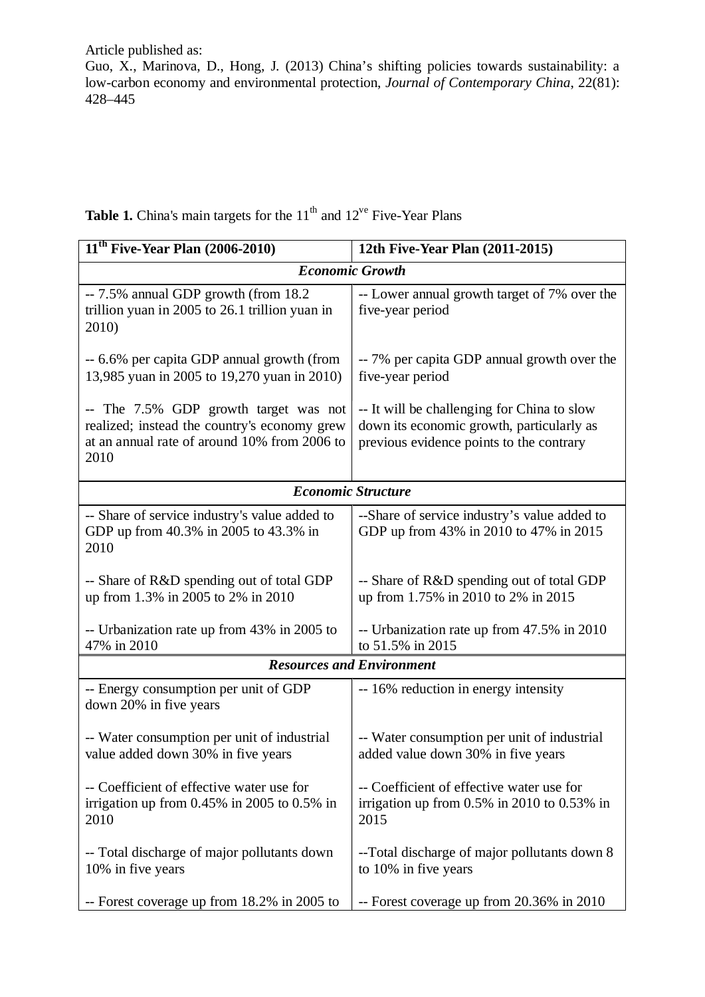Guo, X., Marinova, D., Hong, J. (2013) China's shifting policies towards sustainability: a low-carbon economy and environmental protection, *Journal of Contemporary China*, 22(81): 428–445

| <b>Table 1.</b> China's main targets for the $11th$ and $12ve$ Five-Year Plans |  |
|--------------------------------------------------------------------------------|--|
|--------------------------------------------------------------------------------|--|

| $11^{th}$ Five-Year Plan (2006-2010)                                                                                                          | 12th Five-Year Plan (2011-2015)                                                                                                      |  |  |
|-----------------------------------------------------------------------------------------------------------------------------------------------|--------------------------------------------------------------------------------------------------------------------------------------|--|--|
| <b>Economic Growth</b>                                                                                                                        |                                                                                                                                      |  |  |
| -- 7.5% annual GDP growth (from 18.2)<br>trillion yuan in 2005 to 26.1 trillion yuan in<br>2010)                                              | -- Lower annual growth target of 7% over the<br>five-year period                                                                     |  |  |
| -- 6.6% per capita GDP annual growth (from<br>13,985 yuan in 2005 to 19,270 yuan in 2010)                                                     | -- 7% per capita GDP annual growth over the<br>five-year period                                                                      |  |  |
| -- The 7.5% GDP growth target was not<br>realized; instead the country's economy grew<br>at an annual rate of around 10% from 2006 to<br>2010 | -- It will be challenging for China to slow<br>down its economic growth, particularly as<br>previous evidence points to the contrary |  |  |
| <b>Economic Structure</b>                                                                                                                     |                                                                                                                                      |  |  |
| -- Share of service industry's value added to<br>GDP up from 40.3% in 2005 to 43.3% in<br>2010                                                | --Share of service industry's value added to<br>GDP up from 43% in 2010 to 47% in 2015                                               |  |  |
| -- Share of R&D spending out of total GDP<br>up from 1.3% in 2005 to 2% in 2010                                                               | -- Share of R&D spending out of total GDP<br>up from 1.75% in 2010 to 2% in 2015                                                     |  |  |
| -- Urbanization rate up from 43% in 2005 to<br>47% in 2010                                                                                    | -- Urbanization rate up from 47.5% in 2010<br>to 51.5% in 2015                                                                       |  |  |
| <b>Resources and Environment</b>                                                                                                              |                                                                                                                                      |  |  |
| -- Energy consumption per unit of GDP<br>down 20% in five years                                                                               | -- 16% reduction in energy intensity                                                                                                 |  |  |
| -- Water consumption per unit of industrial<br>value added down 30% in five years                                                             | -- Water consumption per unit of industrial<br>added value down 30% in five years                                                    |  |  |
| -- Coefficient of effective water use for<br>irrigation up from $0.45\%$ in 2005 to 0.5% in<br>2010                                           | -- Coefficient of effective water use for<br>irrigation up from $0.5\%$ in 2010 to $0.53\%$ in<br>2015                               |  |  |
| -- Total discharge of major pollutants down<br>10% in five years                                                                              | --Total discharge of major pollutants down 8<br>to 10% in five years                                                                 |  |  |
| -- Forest coverage up from 18.2% in 2005 to                                                                                                   | -- Forest coverage up from 20.36% in 2010                                                                                            |  |  |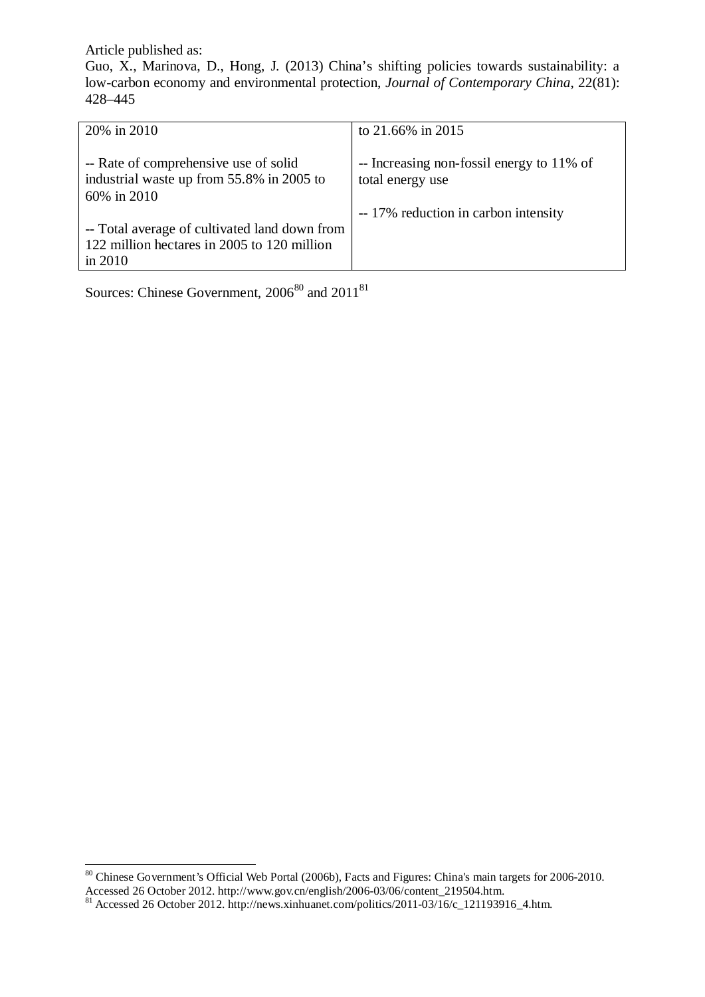Guo, X., Marinova, D., Hong, J. (2013) China's shifting policies towards sustainability: a low-carbon economy and environmental protection, *Journal of Contemporary China*, 22(81): 428–445

| 20% in 2010                                                                                               | to 21.66% in 2015                                             |
|-----------------------------------------------------------------------------------------------------------|---------------------------------------------------------------|
| -- Rate of comprehensive use of solid<br>industrial waste up from 55.8% in 2005 to<br>60% in 2010         | -- Increasing non-fossil energy to 11% of<br>total energy use |
| -- Total average of cultivated land down from<br>122 million hectares in 2005 to 120 million<br>in $2010$ | -- 17% reduction in carbon intensity                          |

Sources: Chinese Government,  $2006^{80}$  $2006^{80}$  $2006^{80}$  and  $2011^{81}$  $2011^{81}$  $2011^{81}$ 

<span id="page-28-0"></span><sup>&</sup>lt;sup>80</sup> Chinese Government's Official Web Portal (2006b), Facts and Figures: China's main targets for 2006-2010. Accessed 26 October 2012. http://www.gov.cn/english/2006-03/06/content\_219504.htm. 81 Accessed 26 October 2012. http://news.xinhuanet.com/politics/2011-03/16/c\_121193916\_4.htm. -

<span id="page-28-1"></span>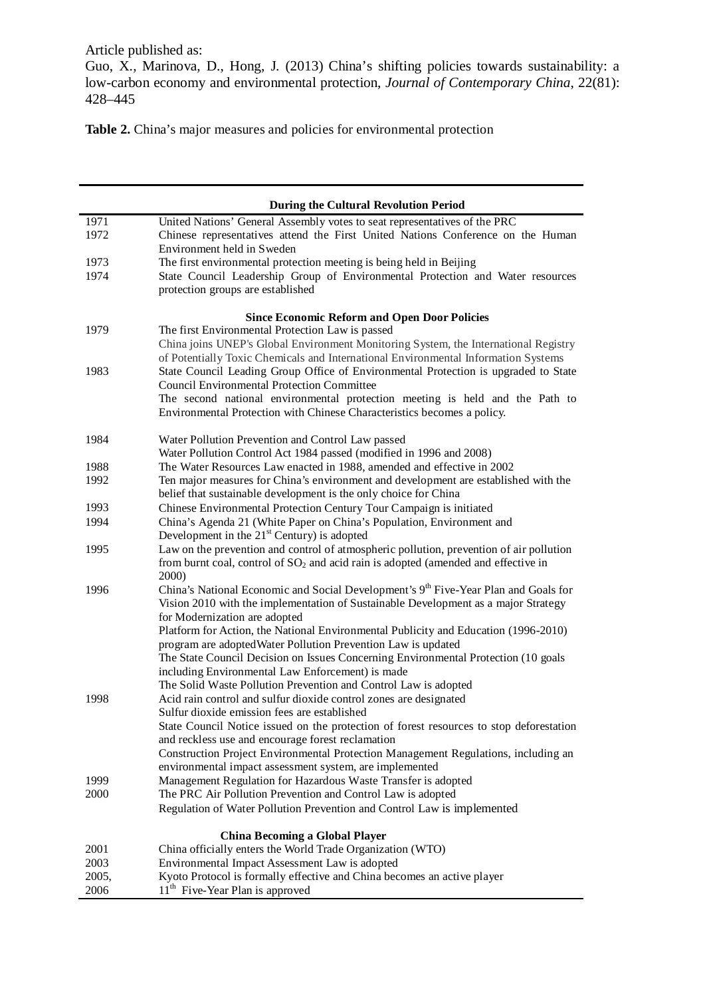Guo, X., Marinova, D., Hong, J. (2013) China's shifting policies towards sustainability: a low-carbon economy and environmental protection, *Journal of Contemporary China*, 22(81): 428–445

Table 2. China's major measures and policies for environmental protection

|       | <b>During the Cultural Revolution Period</b>                                                                             |
|-------|--------------------------------------------------------------------------------------------------------------------------|
| 1971  | United Nations' General Assembly votes to seat representatives of the PRC                                                |
| 1972  | Chinese representatives attend the First United Nations Conference on the Human                                          |
|       | Environment held in Sweden                                                                                               |
| 1973  | The first environmental protection meeting is being held in Beijing                                                      |
| 1974  | State Council Leadership Group of Environmental Protection and Water resources                                           |
|       | protection groups are established                                                                                        |
|       | <b>Since Economic Reform and Open Door Policies</b>                                                                      |
| 1979  | The first Environmental Protection Law is passed                                                                         |
|       | China joins UNEP's Global Environment Monitoring System, the International Registry                                      |
|       | of Potentially Toxic Chemicals and International Environmental Information Systems                                       |
| 1983  | State Council Leading Group Office of Environmental Protection is upgraded to State                                      |
|       | <b>Council Environmental Protection Committee</b>                                                                        |
|       | The second national environmental protection meeting is held and the Path to                                             |
|       | Environmental Protection with Chinese Characteristics becomes a policy.                                                  |
| 1984  | Water Pollution Prevention and Control Law passed                                                                        |
|       | Water Pollution Control Act 1984 passed (modified in 1996 and 2008)                                                      |
| 1988  | The Water Resources Law enacted in 1988, amended and effective in 2002                                                   |
| 1992  | Ten major measures for China's environment and development are established with the                                      |
|       | belief that sustainable development is the only choice for China                                                         |
| 1993  | Chinese Environmental Protection Century Tour Campaign is initiated                                                      |
| 1994  | China's Agenda 21 (White Paper on China's Population, Environment and                                                    |
|       | Development in the $21st$ Century) is adopted                                                                            |
| 1995  | Law on the prevention and control of atmospheric pollution, prevention of air pollution                                  |
|       | from burnt coal, control of $SO2$ and acid rain is adopted (amended and effective in                                     |
| 1996  | 2000)<br>China's National Economic and Social Development's 9th Five-Year Plan and Goals for                             |
|       | Vision 2010 with the implementation of Sustainable Development as a major Strategy                                       |
|       | for Modernization are adopted                                                                                            |
|       | Platform for Action, the National Environmental Publicity and Education (1996-2010)                                      |
|       | program are adopted Water Pollution Prevention Law is updated                                                            |
|       | The State Council Decision on Issues Concerning Environmental Protection (10 goals                                       |
|       | including Environmental Law Enforcement) is made                                                                         |
|       | The Solid Waste Pollution Prevention and Control Law is adopted                                                          |
| 1998  | Acid rain control and sulfur dioxide control zones are designated                                                        |
|       | Sulfur dioxide emission fees are established                                                                             |
|       | State Council Notice issued on the protection of forest resources to stop deforestation                                  |
|       | and reckless use and encourage forest reclamation                                                                        |
|       | Construction Project Environmental Protection Management Regulations, including an                                       |
| 1999  | environmental impact assessment system, are implemented<br>Management Regulation for Hazardous Waste Transfer is adopted |
| 2000  | The PRC Air Pollution Prevention and Control Law is adopted                                                              |
|       | Regulation of Water Pollution Prevention and Control Law is implemented                                                  |
|       |                                                                                                                          |
| 2001  | <b>China Becoming a Global Player</b><br>China officially enters the World Trade Organization (WTO)                      |
| 2003  | Environmental Impact Assessment Law is adopted                                                                           |
| 2005, | Kyoto Protocol is formally effective and China becomes an active player                                                  |
| 2006  | 11 <sup>th</sup> Five-Year Plan is approved                                                                              |